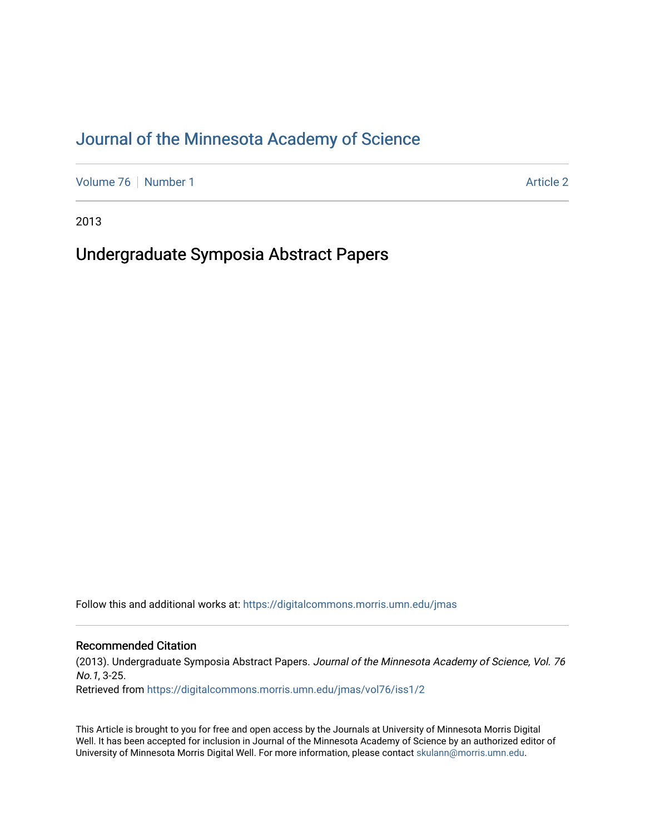# [Journal of the Minnesota Academy of Science](https://digitalcommons.morris.umn.edu/jmas)

[Volume 76](https://digitalcommons.morris.umn.edu/jmas/vol76) | [Number 1](https://digitalcommons.morris.umn.edu/jmas/vol76/iss1) Article 2

2013

# Undergraduate Symposia Abstract Papers

Follow this and additional works at: [https://digitalcommons.morris.umn.edu/jmas](https://digitalcommons.morris.umn.edu/jmas?utm_source=digitalcommons.morris.umn.edu%2Fjmas%2Fvol76%2Fiss1%2F2&utm_medium=PDF&utm_campaign=PDFCoverPages) 

# Recommended Citation

(2013). Undergraduate Symposia Abstract Papers. Journal of the Minnesota Academy of Science, Vol. 76 No.1, 3-25. Retrieved from [https://digitalcommons.morris.umn.edu/jmas/vol76/iss1/2](https://digitalcommons.morris.umn.edu/jmas/vol76/iss1/2?utm_source=digitalcommons.morris.umn.edu%2Fjmas%2Fvol76%2Fiss1%2F2&utm_medium=PDF&utm_campaign=PDFCoverPages)

This Article is brought to you for free and open access by the Journals at University of Minnesota Morris Digital Well. It has been accepted for inclusion in Journal of the Minnesota Academy of Science by an authorized editor of University of Minnesota Morris Digital Well. For more information, please contact [skulann@morris.umn.edu](mailto:skulann@morris.umn.edu).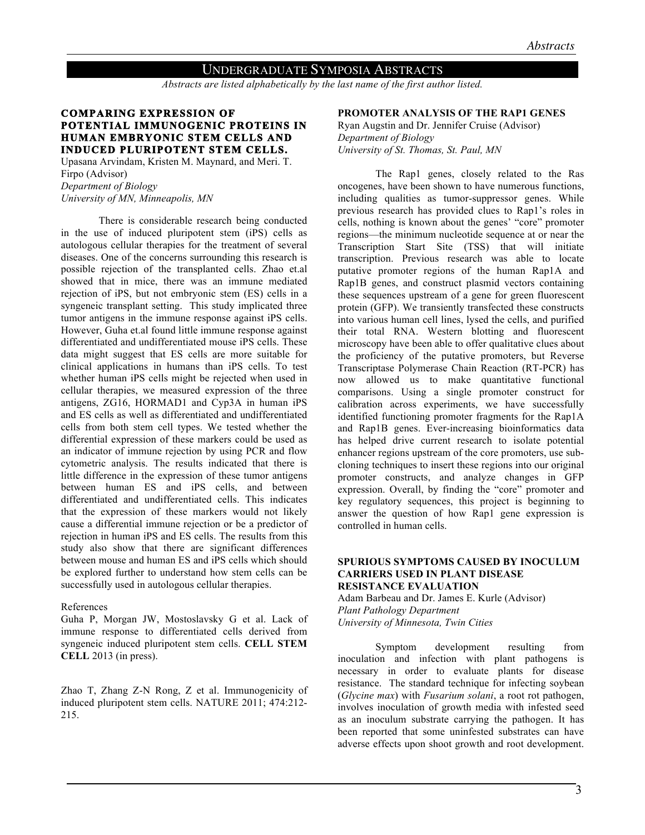# UNDERGRADUATE SYMPOSIA ABSTRACTS

*Abstracts are listed alphabetically by the last name of the first author listed.*

# **COMPARING EXPRESSION OF POTENTIAL IMMUNOGENIC PROTEINS IN HUMAN EMBRYONIC STEM CELLS AND INDUCED PLURIPOTENT STEM CELLS.**

Upasana Arvindam, Kristen M. Maynard, and Meri. T. Firpo (Advisor) *Department of Biology University of MN, Minneapolis, MN*

There is considerable research being conducted in the use of induced pluripotent stem (iPS) cells as autologous cellular therapies for the treatment of several diseases. One of the concerns surrounding this research is possible rejection of the transplanted cells. Zhao et.al showed that in mice, there was an immune mediated rejection of iPS, but not embryonic stem (ES) cells in a syngeneic transplant setting. This study implicated three tumor antigens in the immune response against iPS cells. However, Guha et.al found little immune response against differentiated and undifferentiated mouse iPS cells. These data might suggest that ES cells are more suitable for clinical applications in humans than iPS cells. To test whether human iPS cells might be rejected when used in cellular therapies, we measured expression of the three antigens, ZG16, HORMAD1 and Cyp3A in human iPS and ES cells as well as differentiated and undifferentiated cells from both stem cell types. We tested whether the differential expression of these markers could be used as an indicator of immune rejection by using PCR and flow cytometric analysis. The results indicated that there is little difference in the expression of these tumor antigens between human ES and iPS cells, and between differentiated and undifferentiated cells. This indicates that the expression of these markers would not likely cause a differential immune rejection or be a predictor of rejection in human iPS and ES cells. The results from this study also show that there are significant differences between mouse and human ES and iPS cells which should be explored further to understand how stem cells can be successfully used in autologous cellular therapies.

#### References

Guha P, Morgan JW, Mostoslavsky G et al. Lack of immune response to differentiated cells derived from syngeneic induced pluripotent stem cells. **CELL STEM CELL** 2013 (in press).

Zhao T, Zhang Z-N Rong, Z et al. Immunogenicity of induced pluripotent stem cells. NATURE 2011; 474:212- 215.

# **PROMOTER ANALYSIS OF THE RAP1 GENES**

Ryan Augstin and Dr. Jennifer Cruise (Advisor) *Department of Biology University of St. Thomas, St. Paul, MN*

The Rap1 genes, closely related to the Ras oncogenes, have been shown to have numerous functions, including qualities as tumor-suppressor genes. While previous research has provided clues to Rap1's roles in cells, nothing is known about the genes' "core" promoter regions—the minimum nucleotide sequence at or near the Transcription Start Site (TSS) that will initiate transcription. Previous research was able to locate putative promoter regions of the human Rap1A and Rap1B genes, and construct plasmid vectors containing these sequences upstream of a gene for green fluorescent protein (GFP). We transiently transfected these constructs into various human cell lines, lysed the cells, and purified their total RNA. Western blotting and fluorescent microscopy have been able to offer qualitative clues about the proficiency of the putative promoters, but Reverse Transcriptase Polymerase Chain Reaction (RT-PCR) has now allowed us to make quantitative functional comparisons. Using a single promoter construct for calibration across experiments, we have successfully identified functioning promoter fragments for the Rap1A and Rap1B genes. Ever-increasing bioinformatics data has helped drive current research to isolate potential enhancer regions upstream of the core promoters, use subcloning techniques to insert these regions into our original promoter constructs, and analyze changes in GFP expression. Overall, by finding the "core" promoter and key regulatory sequences, this project is beginning to answer the question of how Rap1 gene expression is controlled in human cells.

#### **SPURIOUS SYMPTOMS CAUSED BY INOCULUM CARRIERS USED IN PLANT DISEASE RESISTANCE EVALUATION**

Adam Barbeau and Dr. James E. Kurle (Advisor) *Plant Pathology Department University of Minnesota, Twin Cities*

Symptom development resulting from inoculation and infection with plant pathogens is necessary in order to evaluate plants for disease resistance. The standard technique for infecting soybean (*Glycine max*) with *Fusarium solani*, a root rot pathogen, involves inoculation of growth media with infested seed as an inoculum substrate carrying the pathogen. It has been reported that some uninfested substrates can have adverse effects upon shoot growth and root development.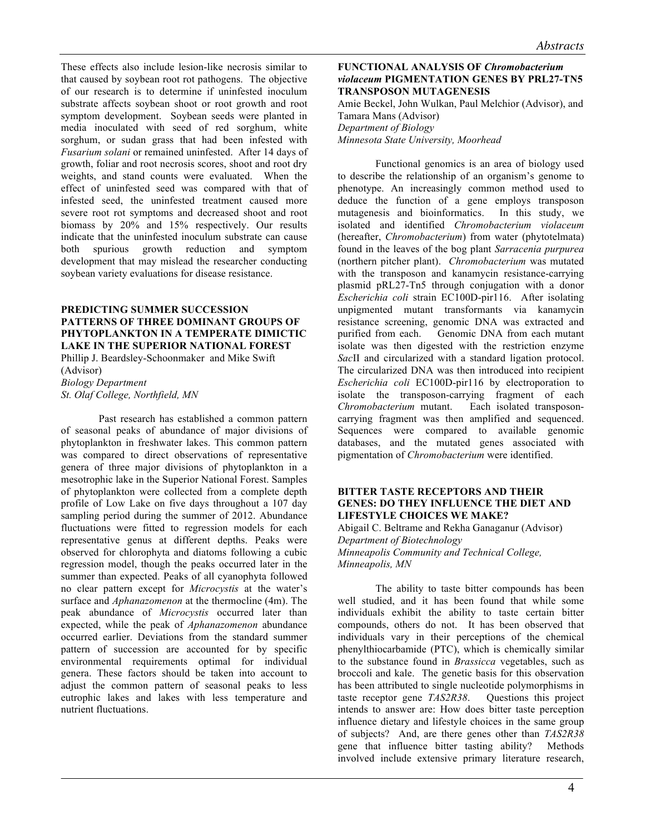These effects also include lesion-like necrosis similar to that caused by soybean root rot pathogens. The objective of our research is to determine if uninfested inoculum substrate affects soybean shoot or root growth and root symptom development. Soybean seeds were planted in media inoculated with seed of red sorghum, white sorghum, or sudan grass that had been infested with *Fusarium solani* or remained uninfested. After 14 days of growth, foliar and root necrosis scores, shoot and root dry weights, and stand counts were evaluated. When the effect of uninfested seed was compared with that of infested seed, the uninfested treatment caused more severe root rot symptoms and decreased shoot and root biomass by 20% and 15% respectively. Our results indicate that the uninfested inoculum substrate can cause both spurious growth reduction and symptom development that may mislead the researcher conducting soybean variety evaluations for disease resistance.

# **PREDICTING SUMMER SUCCESSION PATTERNS OF THREE DOMINANT GROUPS OF PHYTOPLANKTON IN A TEMPERATE DIMICTIC LAKE IN THE SUPERIOR NATIONAL FOREST**

Phillip J. Beardsley-Schoonmaker and Mike Swift (Advisor) *Biology Department St. Olaf College, Northfield, MN*

Past research has established a common pattern of seasonal peaks of abundance of major divisions of phytoplankton in freshwater lakes. This common pattern was compared to direct observations of representative genera of three major divisions of phytoplankton in a mesotrophic lake in the Superior National Forest. Samples of phytoplankton were collected from a complete depth profile of Low Lake on five days throughout a 107 day sampling period during the summer of 2012. Abundance fluctuations were fitted to regression models for each representative genus at different depths. Peaks were observed for chlorophyta and diatoms following a cubic regression model, though the peaks occurred later in the summer than expected. Peaks of all cyanophyta followed no clear pattern except for *Microcystis* at the water's surface and *Aphanazomenon* at the thermocline (4m). The peak abundance of *Microcystis* occurred later than expected, while the peak of *Aphanazomenon* abundance occurred earlier. Deviations from the standard summer pattern of succession are accounted for by specific environmental requirements optimal for individual genera. These factors should be taken into account to adjust the common pattern of seasonal peaks to less eutrophic lakes and lakes with less temperature and nutrient fluctuations.

# **FUNCTIONAL ANALYSIS OF** *Chromobacterium violaceum* **PIGMENTATION GENES BY PRL27-TN5 TRANSPOSON MUTAGENESIS**

Amie Beckel, John Wulkan, Paul Melchior (Advisor), and Tamara Mans (Advisor) *Department of Biology Minnesota State University, Moorhead*

Functional genomics is an area of biology used to describe the relationship of an organism's genome to phenotype. An increasingly common method used to deduce the function of a gene employs transposon mutagenesis and bioinformatics. In this study, we isolated and identified *Chromobacterium violaceum* (hereafter, *Chromobacterium*) from water (phytotelmata) found in the leaves of the bog plant *Sarracenia purpurea* (northern pitcher plant). *Chromobacterium* was mutated with the transposon and kanamycin resistance-carrying plasmid pRL27-Tn5 through conjugation with a donor *Escherichia coli* strain EC100D-pir116. After isolating unpigmented mutant transformants via kanamycin resistance screening, genomic DNA was extracted and purified from each. Genomic DNA from each mutant isolate was then digested with the restriction enzyme *Sac*II and circularized with a standard ligation protocol. The circularized DNA was then introduced into recipient *Escherichia coli* EC100D-pir116 by electroporation to isolate the transposon-carrying fragment of each *Chromobacterium* mutant. Each isolated transposoncarrying fragment was then amplified and sequenced. Sequences were compared to available genomic databases, and the mutated genes associated with pigmentation of *Chromobacterium* were identified.

# **BITTER TASTE RECEPTORS AND THEIR GENES: DO THEY INFLUENCE THE DIET AND LIFESTYLE CHOICES WE MAKE?**

Abigail C. Beltrame and Rekha Ganaganur (Advisor) *Department of Biotechnology Minneapolis Community and Technical College, Minneapolis, MN*

The ability to taste bitter compounds has been well studied, and it has been found that while some individuals exhibit the ability to taste certain bitter compounds, others do not. It has been observed that individuals vary in their perceptions of the chemical phenylthiocarbamide (PTC), which is chemically similar to the substance found in *Brassicca* vegetables, such as broccoli and kale. The genetic basis for this observation has been attributed to single nucleotide polymorphisms in taste receptor gene *TAS2R38*. Questions this project intends to answer are: How does bitter taste perception influence dietary and lifestyle choices in the same group of subjects? And, are there genes other than *TAS2R38* gene that influence bitter tasting ability? Methods involved include extensive primary literature research,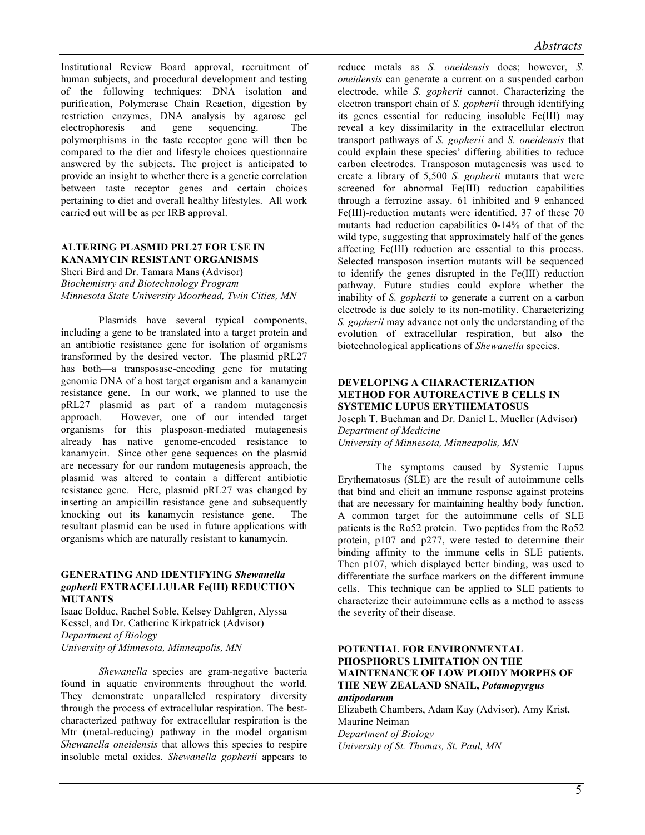Institutional Review Board approval, recruitment of human subjects, and procedural development and testing of the following techniques: DNA isolation and purification, Polymerase Chain Reaction, digestion by restriction enzymes, DNA analysis by agarose gel electrophoresis and gene sequencing. The polymorphisms in the taste receptor gene will then be compared to the diet and lifestyle choices questionnaire answered by the subjects. The project is anticipated to provide an insight to whether there is a genetic correlation between taste receptor genes and certain choices pertaining to diet and overall healthy lifestyles. All work carried out will be as per IRB approval.

#### **ALTERING PLASMID PRL27 FOR USE IN KANAMYCIN RESISTANT ORGANISMS**

Sheri Bird and Dr. Tamara Mans (Advisor) *Biochemistry and Biotechnology Program Minnesota State University Moorhead, Twin Cities, MN*

Plasmids have several typical components, including a gene to be translated into a target protein and an antibiotic resistance gene for isolation of organisms transformed by the desired vector. The plasmid pRL27 has both—a transposase-encoding gene for mutating genomic DNA of a host target organism and a kanamycin resistance gene. In our work, we planned to use the pRL27 plasmid as part of a random mutagenesis approach. However, one of our intended target organisms for this plasposon-mediated mutagenesis already has native genome-encoded resistance to kanamycin. Since other gene sequences on the plasmid are necessary for our random mutagenesis approach, the plasmid was altered to contain a different antibiotic resistance gene. Here, plasmid pRL27 was changed by inserting an ampicillin resistance gene and subsequently knocking out its kanamycin resistance gene. The resultant plasmid can be used in future applications with organisms which are naturally resistant to kanamycin.

#### **GENERATING AND IDENTIFYING** *Shewanella gopherii* **EXTRACELLULAR Fe(III) REDUCTION MUTANTS**

Isaac Bolduc, Rachel Soble, Kelsey Dahlgren, Alyssa Kessel, and Dr. Catherine Kirkpatrick (Advisor) *Department of Biology University of Minnesota, Minneapolis, MN*

*Shewanella* species are gram-negative bacteria found in aquatic environments throughout the world. They demonstrate unparalleled respiratory diversity through the process of extracellular respiration. The bestcharacterized pathway for extracellular respiration is the Mtr (metal-reducing) pathway in the model organism *Shewanella oneidensis* that allows this species to respire insoluble metal oxides. *Shewanella gopherii* appears to reduce metals as *S. oneidensis* does; however, *S. oneidensis* can generate a current on a suspended carbon electrode, while *S. gopherii* cannot. Characterizing the electron transport chain of *S. gopherii* through identifying its genes essential for reducing insoluble Fe(III) may reveal a key dissimilarity in the extracellular electron transport pathways of *S. gopherii* and *S. oneidensis* that could explain these species' differing abilities to reduce carbon electrodes. Transposon mutagenesis was used to create a library of 5,500 *S. gopherii* mutants that were screened for abnormal Fe(III) reduction capabilities through a ferrozine assay. 61 inhibited and 9 enhanced Fe(III)-reduction mutants were identified. 37 of these 70 mutants had reduction capabilities 0-14% of that of the wild type, suggesting that approximately half of the genes affecting Fe(III) reduction are essential to this process. Selected transposon insertion mutants will be sequenced to identify the genes disrupted in the Fe(III) reduction pathway. Future studies could explore whether the inability of *S. gopherii* to generate a current on a carbon electrode is due solely to its non-motility. Characterizing *S. gopherii* may advance not only the understanding of the evolution of extracellular respiration, but also the biotechnological applications of *Shewanella* species.

# **DEVELOPING A CHARACTERIZATION METHOD FOR AUTOREACTIVE B CELLS IN SYSTEMIC LUPUS ERYTHEMATOSUS**

Joseph T. Buchman and Dr. Daniel L. Mueller (Advisor) *Department of Medicine University of Minnesota, Minneapolis, MN*

The symptoms caused by Systemic Lupus Erythematosus (SLE) are the result of autoimmune cells that bind and elicit an immune response against proteins that are necessary for maintaining healthy body function. A common target for the autoimmune cells of SLE patients is the Ro52 protein. Two peptides from the Ro52 protein, p107 and p277, were tested to determine their binding affinity to the immune cells in SLE patients. Then p107, which displayed better binding, was used to differentiate the surface markers on the different immune cells. This technique can be applied to SLE patients to characterize their autoimmune cells as a method to assess the severity of their disease.

#### **POTENTIAL FOR ENVIRONMENTAL PHOSPHORUS LIMITATION ON THE MAINTENANCE OF LOW PLOIDY MORPHS OF THE NEW ZEALAND SNAIL,** *Potamopyrgus antipodarum*

Elizabeth Chambers, Adam Kay (Advisor), Amy Krist, Maurine Neiman *Department of Biology University of St. Thomas, St. Paul, MN*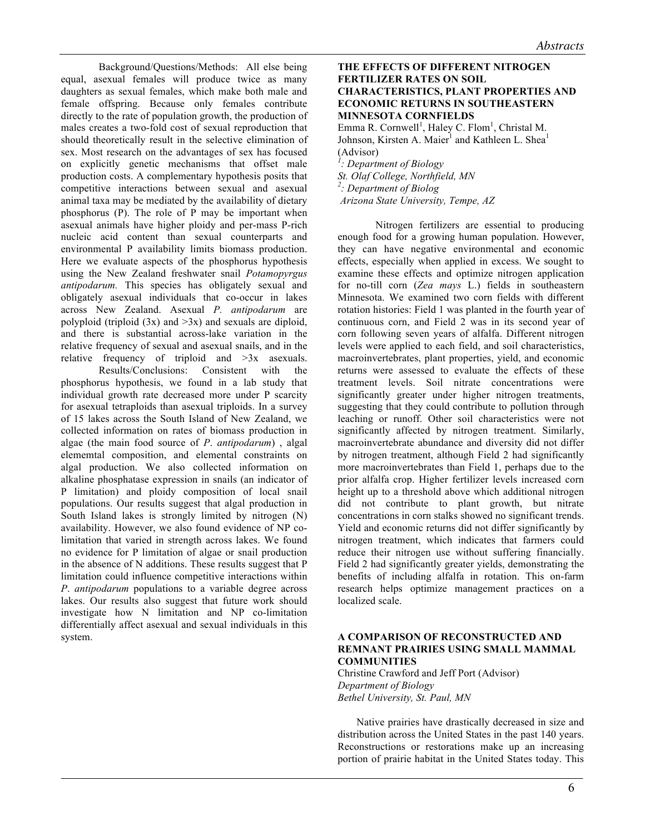Background/Questions/Methods: All else being equal, asexual females will produce twice as many daughters as sexual females, which make both male and female offspring. Because only females contribute directly to the rate of population growth, the production of males creates a two-fold cost of sexual reproduction that should theoretically result in the selective elimination of sex. Most research on the advantages of sex has focused on explicitly genetic mechanisms that offset male production costs. A complementary hypothesis posits that competitive interactions between sexual and asexual animal taxa may be mediated by the availability of dietary phosphorus (P). The role of P may be important when asexual animals have higher ploidy and per-mass P-rich nucleic acid content than sexual counterparts and environmental P availability limits biomass production. Here we evaluate aspects of the phosphorus hypothesis using the New Zealand freshwater snail *Potamopyrgus antipodarum.* This species has obligately sexual and obligately asexual individuals that co-occur in lakes across New Zealand. Asexual *P. antipodarum* are polyploid (triploid  $(3x)$  and  $>3x$ ) and sexuals are diploid, and there is substantial across-lake variation in the relative frequency of sexual and asexual snails, and in the relative frequency of triploid and >3x asexuals.

Results/Conclusions: Consistent with the phosphorus hypothesis, we found in a lab study that individual growth rate decreased more under P scarcity for asexual tetraploids than asexual triploids. In a survey of 15 lakes across the South Island of New Zealand, we collected information on rates of biomass production in algae (the main food source of *P*. *antipodarum*) , algal elememtal composition, and elemental constraints on algal production. We also collected information on alkaline phosphatase expression in snails (an indicator of P limitation) and ploidy composition of local snail populations. Our results suggest that algal production in South Island lakes is strongly limited by nitrogen (N) availability. However, we also found evidence of NP colimitation that varied in strength across lakes. We found no evidence for P limitation of algae or snail production in the absence of N additions. These results suggest that P limitation could influence competitive interactions within *P*. *antipodarum* populations to a variable degree across lakes. Our results also suggest that future work should investigate how N limitation and NP co-limitation differentially affect asexual and sexual individuals in this system.

# **THE EFFECTS OF DIFFERENT NITROGEN FERTILIZER RATES ON SOIL CHARACTERISTICS, PLANT PROPERTIES AND ECONOMIC RETURNS IN SOUTHEASTERN MINNESOTA CORNFIELDS**

Emma R. Cornwell<sup>1</sup>, Haley C. Flom<sup>1</sup>, Christal M. Johnson, Kirsten A. Maier<sup>1</sup> and Kathleen L. Shea<sup>1</sup> (Advisor) *<sup>1</sup>*

*: Department of Biology*

*St. Olaf College, Northfield, MN*

*2 : Department of Biolog*

*Arizona State University, Tempe, AZ*

Nitrogen fertilizers are essential to producing enough food for a growing human population. However, they can have negative environmental and economic effects, especially when applied in excess. We sought to examine these effects and optimize nitrogen application for no-till corn (*Zea mays* L.) fields in southeastern Minnesota. We examined two corn fields with different rotation histories: Field 1 was planted in the fourth year of continuous corn, and Field 2 was in its second year of corn following seven years of alfalfa. Different nitrogen levels were applied to each field, and soil characteristics, macroinvertebrates, plant properties, yield, and economic returns were assessed to evaluate the effects of these treatment levels. Soil nitrate concentrations were significantly greater under higher nitrogen treatments, suggesting that they could contribute to pollution through leaching or runoff. Other soil characteristics were not significantly affected by nitrogen treatment. Similarly, macroinvertebrate abundance and diversity did not differ by nitrogen treatment, although Field 2 had significantly more macroinvertebrates than Field 1, perhaps due to the prior alfalfa crop. Higher fertilizer levels increased corn height up to a threshold above which additional nitrogen did not contribute to plant growth, but nitrate concentrations in corn stalks showed no significant trends. Yield and economic returns did not differ significantly by nitrogen treatment, which indicates that farmers could reduce their nitrogen use without suffering financially. Field 2 had significantly greater yields, demonstrating the benefits of including alfalfa in rotation. This on-farm research helps optimize management practices on a localized scale.

# **A COMPARISON OF RECONSTRUCTED AND REMNANT PRAIRIES USING SMALL MAMMAL COMMUNITIES**

Christine Crawford and Jeff Port (Advisor) *Department of Biology Bethel University, St. Paul, MN*

Native prairies have drastically decreased in size and distribution across the United States in the past 140 years. Reconstructions or restorations make up an increasing portion of prairie habitat in the United States today. This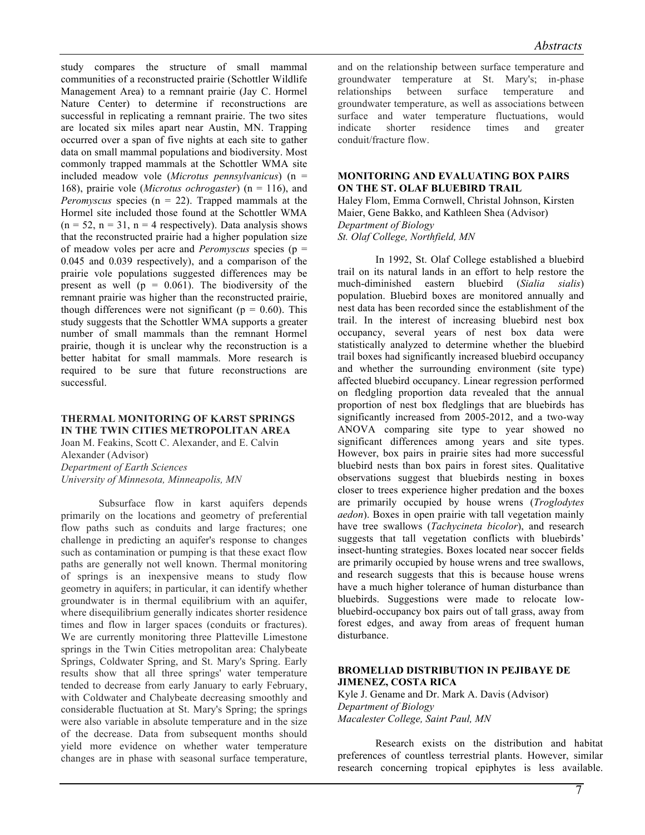study compares the structure of small mammal communities of a reconstructed prairie (Schottler Wildlife Management Area) to a remnant prairie (Jay C. Hormel Nature Center) to determine if reconstructions are successful in replicating a remnant prairie. The two sites are located six miles apart near Austin, MN. Trapping occurred over a span of five nights at each site to gather data on small mammal populations and biodiversity. Most commonly trapped mammals at the Schottler WMA site included meadow vole (*Microtus pennsylvanicus*) (n = 168), prairie vole (*Microtus ochrogaster*) (n = 116), and *Peromyscus* species (n = 22). Trapped mammals at the Hormel site included those found at the Schottler WMA  $(n = 52, n = 31, n = 4$  respectively). Data analysis shows that the reconstructed prairie had a higher population size of meadow voles per acre and *Peromyscus* species (p = 0.045 and 0.039 respectively), and a comparison of the prairie vole populations suggested differences may be present as well  $(p = 0.061)$ . The biodiversity of the remnant prairie was higher than the reconstructed prairie, though differences were not significant ( $p = 0.60$ ). This study suggests that the Schottler WMA supports a greater number of small mammals than the remnant Hormel prairie, though it is unclear why the reconstruction is a better habitat for small mammals. More research is required to be sure that future reconstructions are successful.

# **THERMAL MONITORING OF KARST SPRINGS IN THE TWIN CITIES METROPOLITAN AREA**

Joan M. Feakins, Scott C. Alexander, and E. Calvin Alexander (Advisor) *Department of Earth Sciences University of Minnesota, Minneapolis, MN*

Subsurface flow in karst aquifers depends primarily on the locations and geometry of preferential flow paths such as conduits and large fractures; one challenge in predicting an aquifer's response to changes such as contamination or pumping is that these exact flow paths are generally not well known. Thermal monitoring of springs is an inexpensive means to study flow geometry in aquifers; in particular, it can identify whether groundwater is in thermal equilibrium with an aquifer, where disequilibrium generally indicates shorter residence times and flow in larger spaces (conduits or fractures). We are currently monitoring three Platteville Limestone springs in the Twin Cities metropolitan area: Chalybeate Springs, Coldwater Spring, and St. Mary's Spring. Early results show that all three springs' water temperature tended to decrease from early January to early February, with Coldwater and Chalybeate decreasing smoothly and considerable fluctuation at St. Mary's Spring; the springs were also variable in absolute temperature and in the size of the decrease. Data from subsequent months should yield more evidence on whether water temperature changes are in phase with seasonal surface temperature, and on the relationship between surface temperature and groundwater temperature at St. Mary's; in-phase relationships between surface temperature and groundwater temperature, as well as associations between surface and water temperature fluctuations, would indicate shorter residence times and greater conduit/fracture flow.

#### **MONITORING AND EVALUATING BOX PAIRS ON THE ST. OLAF BLUEBIRD TRAIL**

Haley Flom, Emma Cornwell, Christal Johnson, Kirsten Maier, Gene Bakko, and Kathleen Shea (Advisor) *Department of Biology St. Olaf College, Northfield, MN*

In 1992, St. Olaf College established a bluebird trail on its natural lands in an effort to help restore the much-diminished eastern bluebird (*Sialia sialis*) population. Bluebird boxes are monitored annually and nest data has been recorded since the establishment of the trail. In the interest of increasing bluebird nest box occupancy, several years of nest box data were statistically analyzed to determine whether the bluebird trail boxes had significantly increased bluebird occupancy and whether the surrounding environment (site type) affected bluebird occupancy. Linear regression performed on fledgling proportion data revealed that the annual proportion of nest box fledglings that are bluebirds has significantly increased from 2005-2012, and a two-way ANOVA comparing site type to year showed no significant differences among years and site types. However, box pairs in prairie sites had more successful bluebird nests than box pairs in forest sites. Qualitative observations suggest that bluebirds nesting in boxes closer to trees experience higher predation and the boxes are primarily occupied by house wrens (*Troglodytes aedon*). Boxes in open prairie with tall vegetation mainly have tree swallows (*Tachycineta bicolor*), and research suggests that tall vegetation conflicts with bluebirds' insect-hunting strategies. Boxes located near soccer fields are primarily occupied by house wrens and tree swallows, and research suggests that this is because house wrens have a much higher tolerance of human disturbance than bluebirds. Suggestions were made to relocate lowbluebird-occupancy box pairs out of tall grass, away from forest edges, and away from areas of frequent human disturbance.

#### **BROMELIAD DISTRIBUTION IN PEJIBAYE DE JIMENEZ, COSTA RICA**

Kyle J. Gename and Dr. Mark A. Davis (Advisor) *Department of Biology Macalester College, Saint Paul, MN* 

Research exists on the distribution and habitat preferences of countless terrestrial plants. However, similar research concerning tropical epiphytes is less available.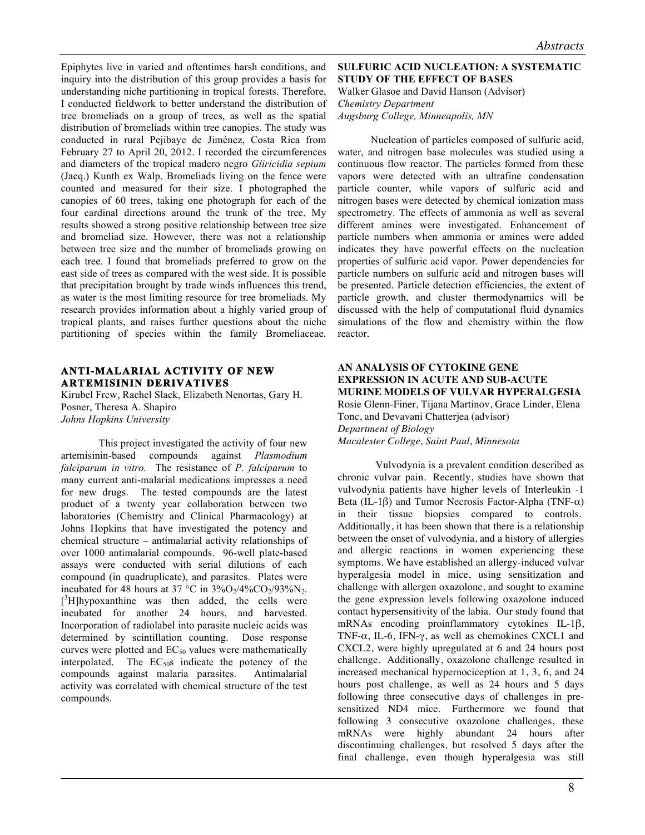Epiphytes live in varied and oftentimes harsh conditions, and inquiry into the distribution of this group provides a basis for understanding niche partitioning in tropical forests. Therefore, I conducted fieldwork to better understand the distribution of tree bromeliads on a group of trees, as well as the spatial distribution of bromeliads within tree canopies. The study was conducted in rural Pejibaye de Jiménez, Costa Rica from February 27 to April 20, 2012. I recorded the circumferences and diameters of the tropical madero negro *Gliricidia sepium* (Jacq.) Kunth ex Walp. Bromeliads living on the fence were counted and measured for their size. I photographed the canopies of 60 trees, taking one photograph for each of the four cardinal directions around the trunk of the tree. My results showed a strong positive relationship between tree size and bromeliad size. However, there was not a relationship between tree size and the number of bromeliads growing on each tree. I found that bromeliads preferred to grow on the east side of trees as compared with the west side. It is possible that precipitation brought by trade winds influences this trend, as water is the most limiting resource for tree bromeliads. My research provides information about a highly varied group of tropical plants, and raises further questions about the niche partitioning of species within the family Bromeliaceae.

# **ANTI-MALARIAL ACTIVITY OF NEW ARTEMISININ DERIVATIVES**

Kirubel Frew, Rachel Slack, Elizabeth Nenortas, Gary H. Posner, Theresa A. Shapiro *Johns Hopkins University*

This project investigated the activity of four new artemisinin-based compounds against *Plasmodium falciparum in vitro.* The resistance of *P. falciparum* to many current anti-malarial medications impresses a need for new drugs. The tested compounds are the latest product of a twenty year collaboration between two laboratories (Chemistry and Clinical Pharmacology) at Johns Hopkins that have investigated the potency and chemical structure – antimalarial activity relationships of over 1000 antimalarial compounds. 96-well plate-based assays were conducted with serial dilutions of each compound (in quadruplicate), and parasites. Plates were incubated for 48 hours at 37 °C in  $3\%O_2/4\%CO_2/93\%N_2$ .  $[3H]$ hypoxanthine was then added, the cells were incubated for another 24 hours, and harvested. Incorporation of radiolabel into parasite nucleic acids was determined by scintillation counting. Dose response curves were plotted and  $EC_{50}$  values were mathematically interpolated. The  $EC_{50}$  indicate the potency of the compounds against malaria parasites. Antimalarial activity was correlated with chemical structure of the test compounds.

# **SULFURIC ACID NUCLEATION: A SYSTEMATIC STUDY OF THE EFFECT OF BASES** Walker Glasoe and David Hanson (Advisor) *Chemistry Department Augsburg College, Minneapolis, MN*

Nucleation of particles composed of sulfuric acid, water, and nitrogen base molecules was studied using a continuous flow reactor. The particles formed from these vapors were detected with an ultrafine condensation particle counter, while vapors of sulfuric acid and nitrogen bases were detected by chemical ionization mass spectrometry. The effects of ammonia as well as several different amines were investigated. Enhancement of particle numbers when ammonia or amines were added indicates they have powerful effects on the nucleation properties of sulfuric acid vapor. Power dependencies for particle numbers on sulfuric acid and nitrogen bases will be presented. Particle detection efficiencies, the extent of particle growth, and cluster thermodynamics will be discussed with the help of computational fluid dynamics simulations of the flow and chemistry within the flow reactor.

#### **AN ANALYSIS OF CYTOKINE GENE EXPRESSION IN ACUTE AND SUB-ACUTE MURINE MODELS OF VULVAR HYPERALGESIA**

Rosie Glenn-Finer, Tijana Martinov, Grace Linder, Elena Tonc, and Devavani Chatterjea (advisor) *Department of Biology Macalester College, Saint Paul, Minnesota*

Vulvodynia is a prevalent condition described as chronic vulvar pain. Recently, studies have shown that vulvodynia patients have higher levels of Interleukin -1 Beta (IL-1 $\beta$ ) and Tumor Necrosis Factor-Alpha (TNF- $\alpha$ ) in their tissue biopsies compared to controls. Additionally, it has been shown that there is a relationship between the onset of vulvodynia, and a history of allergies and allergic reactions in women experiencing these symptoms. We have established an allergy-induced vulvar hyperalgesia model in mice, using sensitization and challenge with allergen oxazolone, and sought to examine the gene expression levels following oxazolone induced contact hypersensitivity of the labia. Our study found that mRNAs encoding proinflammatory cytokines IL-1β, TNF- $\alpha$ , IL-6, IFN- $\gamma$ , as well as chemokines CXCL1 and CXCL2, were highly upregulated at 6 and 24 hours post challenge. Additionally, oxazolone challenge resulted in increased mechanical hypernociception at 1, 3, 6, and 24 hours post challenge, as well as 24 hours and 5 days following three consecutive days of challenges in presensitized ND4 mice. Furthermore we found that following 3 consecutive oxazolone challenges, these mRNAs were highly abundant 24 hours after discontinuing challenges, but resolved 5 days after the final challenge, even though hyperalgesia was still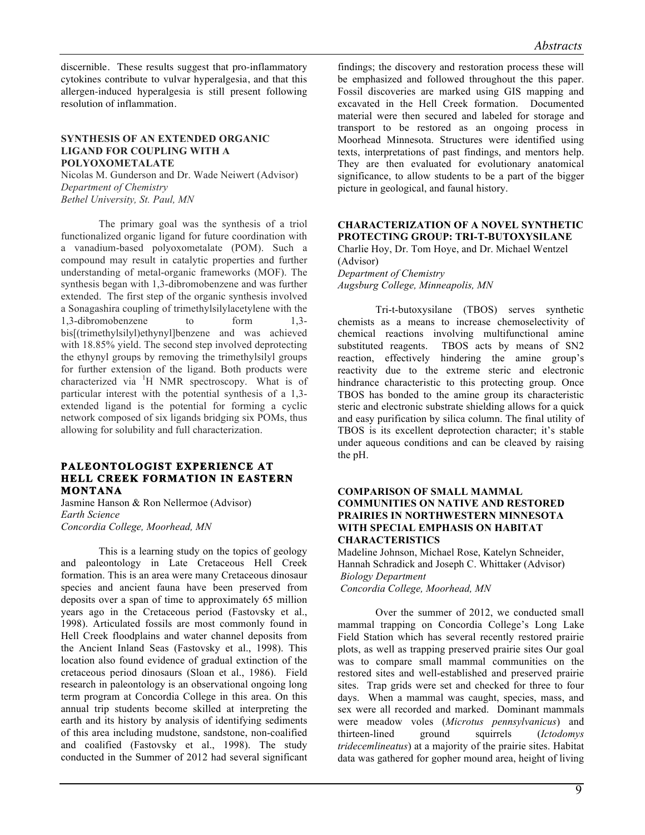discernible. These results suggest that pro-inflammatory cytokines contribute to vulvar hyperalgesia, and that this allergen-induced hyperalgesia is still present following resolution of inflammation.

#### **SYNTHESIS OF AN EXTENDED ORGANIC LIGAND FOR COUPLING WITH A POLYOXOMETALATE**

Nicolas M. Gunderson and Dr. Wade Neiwert (Advisor) *Department of Chemistry Bethel University, St. Paul, MN*

The primary goal was the synthesis of a triol functionalized organic ligand for future coordination with a vanadium-based polyoxometalate (POM). Such a compound may result in catalytic properties and further understanding of metal-organic frameworks (MOF). The synthesis began with 1,3-dibromobenzene and was further extended. The first step of the organic synthesis involved a Sonagashira coupling of trimethylsilylacetylene with the 1,3-dibromobenzene to form 1,3 bis[(trimethylsilyl)ethynyl]benzene and was achieved with 18.85% yield. The second step involved deprotecting the ethynyl groups by removing the trimethylsilyl groups for further extension of the ligand. Both products were characterized via <sup>1</sup>H NMR spectroscopy. What is of particular interest with the potential synthesis of a 1,3 extended ligand is the potential for forming a cyclic network composed of six ligands bridging six POMs, thus allowing for solubility and full characterization.

# **PALEONTOLOGIST EXPERIENCE AT HELL CREEK FORMATION IN EASTERN MONTANA**

Jasmine Hanson & Ron Nellermoe (Advisor) *Earth Science Concordia College, Moorhead, MN* 

This is a learning study on the topics of geology and paleontology in Late Cretaceous Hell Creek formation. This is an area were many Cretaceous dinosaur species and ancient fauna have been preserved from deposits over a span of time to approximately 65 million years ago in the Cretaceous period (Fastovsky et al., 1998). Articulated fossils are most commonly found in Hell Creek floodplains and water channel deposits from the Ancient Inland Seas (Fastovsky et al., 1998). This location also found evidence of gradual extinction of the cretaceous period dinosaurs (Sloan et al., 1986). Field research in paleontology is an observational ongoing long term program at Concordia College in this area. On this annual trip students become skilled at interpreting the earth and its history by analysis of identifying sediments of this area including mudstone, sandstone, non-coalified and coalified (Fastovsky et al., 1998). The study conducted in the Summer of 2012 had several significant findings; the discovery and restoration process these will be emphasized and followed throughout the this paper. Fossil discoveries are marked using GIS mapping and excavated in the Hell Creek formation. Documented material were then secured and labeled for storage and transport to be restored as an ongoing process in Moorhead Minnesota. Structures were identified using texts, interpretations of past findings, and mentors help. They are then evaluated for evolutionary anatomical significance, to allow students to be a part of the bigger picture in geological, and faunal history.

# **CHARACTERIZATION OF A NOVEL SYNTHETIC PROTECTING GROUP: TRI-T-BUTOXYSILANE**

Charlie Hoy, Dr. Tom Hoye, and Dr. Michael Wentzel (Advisor) *Department of Chemistry*

*Augsburg College, Minneapolis, MN*

Tri-t-butoxysilane (TBOS) serves synthetic chemists as a means to increase chemoselectivity of chemical reactions involving multifunctional amine substituted reagents. TBOS acts by means of SN2 reaction, effectively hindering the amine group's reactivity due to the extreme steric and electronic hindrance characteristic to this protecting group. Once TBOS has bonded to the amine group its characteristic steric and electronic substrate shielding allows for a quick and easy purification by silica column. The final utility of TBOS is its excellent deprotection character; it's stable under aqueous conditions and can be cleaved by raising the pH.

# **COMPARISON OF SMALL MAMMAL COMMUNITIES ON NATIVE AND RESTORED PRAIRIES IN NORTHWESTERN MINNESOTA WITH SPECIAL EMPHASIS ON HABITAT CHARACTERISTICS**

Madeline Johnson, Michael Rose, Katelyn Schneider, Hannah Schradick and Joseph C. Whittaker (Advisor) *Biology Department Concordia College, Moorhead, MN*

Over the summer of 2012, we conducted small mammal trapping on Concordia College's Long Lake Field Station which has several recently restored prairie plots, as well as trapping preserved prairie sites Our goal was to compare small mammal communities on the restored sites and well-established and preserved prairie sites. Trap grids were set and checked for three to four days. When a mammal was caught, species, mass, and sex were all recorded and marked. Dominant mammals were meadow voles (*Microtus pennsylvanicus*) and thirteen-lined ground squirrels (*Ictodomys tridecemlineatus*) at a majority of the prairie sites. Habitat data was gathered for gopher mound area, height of living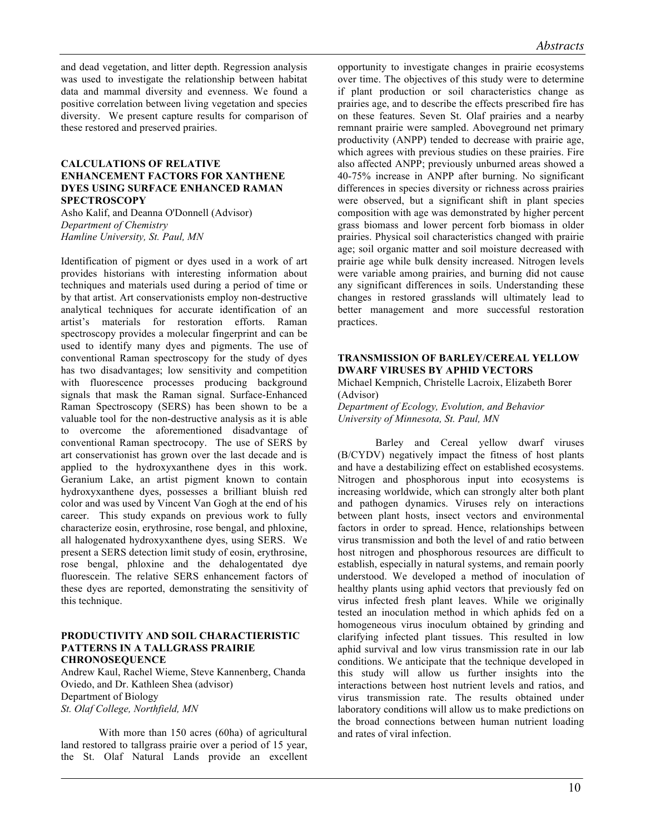and dead vegetation, and litter depth. Regression analysis was used to investigate the relationship between habitat data and mammal diversity and evenness. We found a positive correlation between living vegetation and species diversity. We present capture results for comparison of these restored and preserved prairies.

#### **CALCULATIONS OF RELATIVE ENHANCEMENT FACTORS FOR XANTHENE DYES USING SURFACE ENHANCED RAMAN SPECTROSCOPY**

Asho Kalif, and Deanna O'Donnell (Advisor) *Department of Chemistry Hamline University, St. Paul, MN*

Identification of pigment or dyes used in a work of art provides historians with interesting information about techniques and materials used during a period of time or by that artist. Art conservationists employ non-destructive analytical techniques for accurate identification of an artist's materials for restoration efforts. Raman spectroscopy provides a molecular fingerprint and can be used to identify many dyes and pigments. The use of conventional Raman spectroscopy for the study of dyes has two disadvantages; low sensitivity and competition with fluorescence processes producing background signals that mask the Raman signal. Surface-Enhanced Raman Spectroscopy (SERS) has been shown to be a valuable tool for the non-destructive analysis as it is able to overcome the aforementioned disadvantage of conventional Raman spectrocopy. The use of SERS by art conservationist has grown over the last decade and is applied to the hydroxyxanthene dyes in this work. Geranium Lake, an artist pigment known to contain hydroxyxanthene dyes, possesses a brilliant bluish red color and was used by Vincent Van Gogh at the end of his career. This study expands on previous work to fully characterize eosin, erythrosine, rose bengal, and phloxine, all halogenated hydroxyxanthene dyes, using SERS. We present a SERS detection limit study of eosin, erythrosine, rose bengal, phloxine and the dehalogentated dye fluorescein. The relative SERS enhancement factors of these dyes are reported, demonstrating the sensitivity of this technique.

#### **PRODUCTIVITY AND SOIL CHARACTIERISTIC PATTERNS IN A TALLGRASS PRAIRIE CHRONOSEQUENCE**

Andrew Kaul, Rachel Wieme, Steve Kannenberg, Chanda Oviedo, and Dr. Kathleen Shea (advisor) Department of Biology *St. Olaf College, Northfield, MN*

With more than 150 acres (60ha) of agricultural land restored to tallgrass prairie over a period of 15 year, the St. Olaf Natural Lands provide an excellent opportunity to investigate changes in prairie ecosystems over time. The objectives of this study were to determine if plant production or soil characteristics change as prairies age, and to describe the effects prescribed fire has on these features. Seven St. Olaf prairies and a nearby remnant prairie were sampled. Aboveground net primary productivity (ANPP) tended to decrease with prairie age, which agrees with previous studies on these prairies. Fire also affected ANPP; previously unburned areas showed a 40-75% increase in ANPP after burning. No significant differences in species diversity or richness across prairies were observed, but a significant shift in plant species composition with age was demonstrated by higher percent grass biomass and lower percent forb biomass in older prairies. Physical soil characteristics changed with prairie age; soil organic matter and soil moisture decreased with prairie age while bulk density increased. Nitrogen levels were variable among prairies, and burning did not cause any significant differences in soils. Understanding these changes in restored grasslands will ultimately lead to better management and more successful restoration practices.

# **TRANSMISSION OF BARLEY/CEREAL YELLOW DWARF VIRUSES BY APHID VECTORS**

Michael Kempnich, Christelle Lacroix, Elizabeth Borer (Advisor)

*Department of Ecology, Evolution, and Behavior University of Minnesota, St. Paul, MN*

Barley and Cereal yellow dwarf viruses (B/CYDV) negatively impact the fitness of host plants and have a destabilizing effect on established ecosystems. Nitrogen and phosphorous input into ecosystems is increasing worldwide, which can strongly alter both plant and pathogen dynamics. Viruses rely on interactions between plant hosts, insect vectors and environmental factors in order to spread. Hence, relationships between virus transmission and both the level of and ratio between host nitrogen and phosphorous resources are difficult to establish, especially in natural systems, and remain poorly understood. We developed a method of inoculation of healthy plants using aphid vectors that previously fed on virus infected fresh plant leaves. While we originally tested an inoculation method in which aphids fed on a homogeneous virus inoculum obtained by grinding and clarifying infected plant tissues. This resulted in low aphid survival and low virus transmission rate in our lab conditions. We anticipate that the technique developed in this study will allow us further insights into the interactions between host nutrient levels and ratios, and virus transmission rate. The results obtained under laboratory conditions will allow us to make predictions on the broad connections between human nutrient loading and rates of viral infection.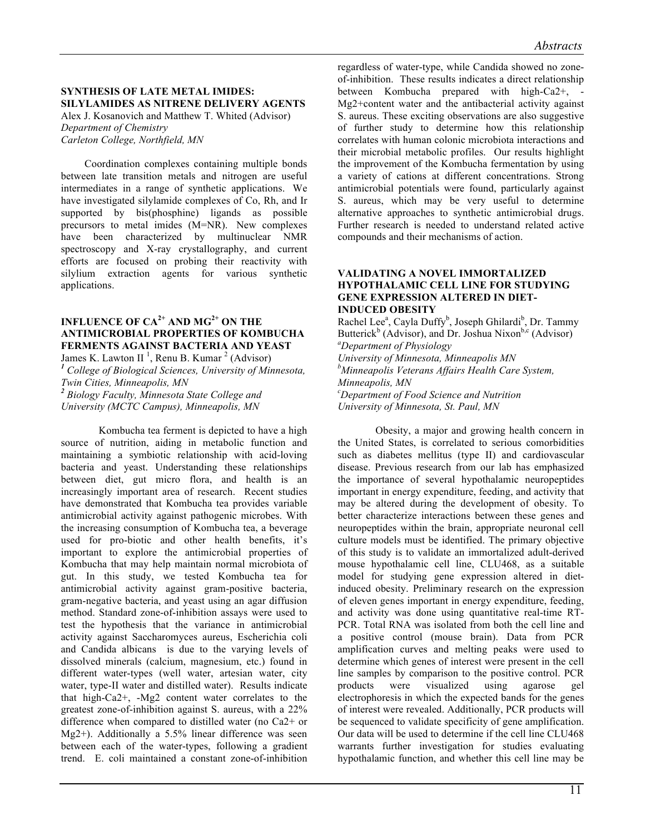# **SYNTHESIS OF LATE METAL IMIDES: SILYLAMIDES AS NITRENE DELIVERY AGENTS**

Alex J. Kosanovich and Matthew T. Whited (Advisor) *Department of Chemistry Carleton College, Northfield, MN* 

Coordination complexes containing multiple bonds between late transition metals and nitrogen are useful intermediates in a range of synthetic applications. We have investigated silylamide complexes of Co, Rh, and Ir supported by bis(phosphine) ligands as possible precursors to metal imides (M=NR). New complexes have been characterized by multinuclear NMR spectroscopy and X-ray crystallography, and current efforts are focused on probing their reactivity with silylium extraction agents for various synthetic applications.

# **INFLUENCE OF CA2+ AND MG2+ ON THE ANTIMICROBIAL PROPERTIES OF KOMBUCHA FERMENTS AGAINST BACTERIA AND YEAST**

James K. Lawton II<sup>1</sup>, Renu B. Kumar<sup>2</sup> (Advisor) <sup>1</sup> College of Biological Sciences, University of Minnesota, *Twin Cities, Minneapolis, MN* <sup>2</sup> Biology Faculty, Minnesota State College and *University (MCTC Campus), Minneapolis, MN*

Kombucha tea ferment is depicted to have a high source of nutrition, aiding in metabolic function and maintaining a symbiotic relationship with acid-loving bacteria and yeast. Understanding these relationships between diet, gut micro flora, and health is an increasingly important area of research. Recent studies have demonstrated that Kombucha tea provides variable antimicrobial activity against pathogenic microbes. With the increasing consumption of Kombucha tea, a beverage used for pro-biotic and other health benefits, it's important to explore the antimicrobial properties of Kombucha that may help maintain normal microbiota of gut. In this study, we tested Kombucha tea for antimicrobial activity against gram-positive bacteria, gram-negative bacteria, and yeast using an agar diffusion method. Standard zone-of-inhibition assays were used to test the hypothesis that the variance in antimicrobial activity against Saccharomyces aureus, Escherichia coli and Candida albicans is due to the varying levels of dissolved minerals (calcium, magnesium, etc.) found in different water-types (well water, artesian water, city water, type-II water and distilled water). Results indicate that high-Ca2+, -Mg2 content water correlates to the greatest zone-of-inhibition against S. aureus, with a 22% difference when compared to distilled water (no Ca2+ or Mg2+). Additionally a 5.5% linear difference was seen between each of the water-types, following a gradient trend. E. coli maintained a constant zone-of-inhibition

regardless of water-type, while Candida showed no zoneof-inhibition. These results indicates a direct relationship between Kombucha prepared with high-Ca2+, - Mg2+content water and the antibacterial activity against S. aureus. These exciting observations are also suggestive of further study to determine how this relationship correlates with human colonic microbiota interactions and their microbial metabolic profiles. Our results highlight the improvement of the Kombucha fermentation by using a variety of cations at different concentrations. Strong antimicrobial potentials were found, particularly against S. aureus, which may be very useful to determine alternative approaches to synthetic antimicrobial drugs. Further research is needed to understand related active compounds and their mechanisms of action.

#### **VALIDATING A NOVEL IMMORTALIZED HYPOTHALAMIC CELL LINE FOR STUDYING GENE EXPRESSION ALTERED IN DIET-INDUCED OBESITY**

Rachel Lee<sup>a</sup>, Cayla Duffy<sup>b</sup>, Joseph Ghilardi<sup>b</sup>, Dr. Tammy Butterick<sup>b</sup> (Advisor), and Dr. Joshua Nixon<sup>b,c</sup> (Advisor) *Department of Physiology University of Minnesota, Minneapolis MN b Minneapolis Veterans Affairs Health Care System, Minneapolis, MN c Department of Food Science and Nutrition University of Minnesota, St. Paul, MN* 

Obesity, a major and growing health concern in the United States, is correlated to serious comorbidities such as diabetes mellitus (type II) and cardiovascular disease. Previous research from our lab has emphasized the importance of several hypothalamic neuropeptides important in energy expenditure, feeding, and activity that may be altered during the development of obesity. To better characterize interactions between these genes and neuropeptides within the brain, appropriate neuronal cell culture models must be identified. The primary objective of this study is to validate an immortalized adult-derived mouse hypothalamic cell line, CLU468, as a suitable model for studying gene expression altered in dietinduced obesity. Preliminary research on the expression of eleven genes important in energy expenditure, feeding, and activity was done using quantitative real-time RT-PCR. Total RNA was isolated from both the cell line and a positive control (mouse brain). Data from PCR amplification curves and melting peaks were used to determine which genes of interest were present in the cell line samples by comparison to the positive control. PCR products were visualized using agarose gel products were visualized using agarose gel electrophoresis in which the expected bands for the genes of interest were revealed. Additionally, PCR products will be sequenced to validate specificity of gene amplification. Our data will be used to determine if the cell line CLU468 warrants further investigation for studies evaluating hypothalamic function, and whether this cell line may be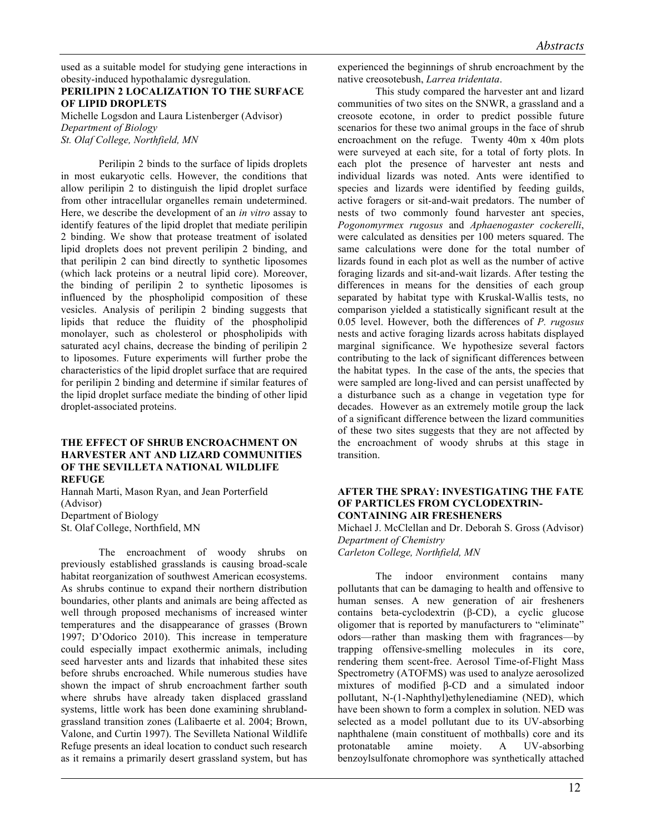used as a suitable model for studying gene interactions in obesity-induced hypothalamic dysregulation.

# **PERILIPIN 2 LOCALIZATION TO THE SURFACE OF LIPID DROPLETS**

Michelle Logsdon and Laura Listenberger (Advisor) *Department of Biology St. Olaf College, Northfield, MN*

Perilipin 2 binds to the surface of lipids droplets in most eukaryotic cells. However, the conditions that allow perilipin 2 to distinguish the lipid droplet surface from other intracellular organelles remain undetermined. Here, we describe the development of an *in vitro* assay to identify features of the lipid droplet that mediate perilipin 2 binding. We show that protease treatment of isolated lipid droplets does not prevent perilipin 2 binding, and that perilipin 2 can bind directly to synthetic liposomes (which lack proteins or a neutral lipid core). Moreover, the binding of perilipin 2 to synthetic liposomes is influenced by the phospholipid composition of these vesicles. Analysis of perilipin 2 binding suggests that lipids that reduce the fluidity of the phospholipid monolayer, such as cholesterol or phospholipids with saturated acyl chains, decrease the binding of perilipin 2 to liposomes. Future experiments will further probe the characteristics of the lipid droplet surface that are required for perilipin 2 binding and determine if similar features of the lipid droplet surface mediate the binding of other lipid droplet-associated proteins.

#### **THE EFFECT OF SHRUB ENCROACHMENT ON HARVESTER ANT AND LIZARD COMMUNITIES OF THE SEVILLETA NATIONAL WILDLIFE REFUGE**

Hannah Marti, Mason Ryan, and Jean Porterfield (Advisor) Department of Biology St. Olaf College, Northfield, MN

The encroachment of woody shrubs on previously established grasslands is causing broad-scale habitat reorganization of southwest American ecosystems. As shrubs continue to expand their northern distribution boundaries, other plants and animals are being affected as well through proposed mechanisms of increased winter temperatures and the disappearance of grasses (Brown 1997; D'Odorico 2010). This increase in temperature could especially impact exothermic animals, including seed harvester ants and lizards that inhabited these sites before shrubs encroached. While numerous studies have shown the impact of shrub encroachment farther south where shrubs have already taken displaced grassland systems, little work has been done examining shrublandgrassland transition zones (Lalibaerte et al. 2004; Brown, Valone, and Curtin 1997). The Sevilleta National Wildlife Refuge presents an ideal location to conduct such research as it remains a primarily desert grassland system, but has

experienced the beginnings of shrub encroachment by the native creosotebush, *Larrea tridentata*.

This study compared the harvester ant and lizard communities of two sites on the SNWR, a grassland and a creosote ecotone, in order to predict possible future scenarios for these two animal groups in the face of shrub encroachment on the refuge. Twenty 40m x 40m plots were surveyed at each site, for a total of forty plots. In each plot the presence of harvester ant nests and individual lizards was noted. Ants were identified to species and lizards were identified by feeding guilds, active foragers or sit-and-wait predators. The number of nests of two commonly found harvester ant species, *Pogonomyrmex rugosus* and *Aphaenogaster cockerelli*, were calculated as densities per 100 meters squared. The same calculations were done for the total number of lizards found in each plot as well as the number of active foraging lizards and sit-and-wait lizards. After testing the differences in means for the densities of each group separated by habitat type with Kruskal-Wallis tests, no comparison yielded a statistically significant result at the 0.05 level. However, both the differences of *P. rugosus*  nests and active foraging lizards across habitats displayed marginal significance. We hypothesize several factors contributing to the lack of significant differences between the habitat types. In the case of the ants, the species that were sampled are long-lived and can persist unaffected by a disturbance such as a change in vegetation type for decades. However as an extremely motile group the lack of a significant difference between the lizard communities of these two sites suggests that they are not affected by the encroachment of woody shrubs at this stage in transition.

#### **AFTER THE SPRAY: INVESTIGATING THE FATE OF PARTICLES FROM CYCLODEXTRIN-CONTAINING AIR FRESHENERS**

Michael J. McClellan and Dr. Deborah S. Gross (Advisor) *Department of Chemistry*

*Carleton College, Northfield, MN*

The indoor environment contains many pollutants that can be damaging to health and offensive to human senses. A new generation of air fresheners contains beta-cyclodextrin (β-CD), a cyclic glucose oligomer that is reported by manufacturers to "eliminate" odors—rather than masking them with fragrances—by trapping offensive-smelling molecules in its core, rendering them scent-free. Aerosol Time-of-Flight Mass Spectrometry (ATOFMS) was used to analyze aerosolized mixtures of modified β-CD and a simulated indoor pollutant, N-(1-Naphthyl)ethylenediamine (NED), which have been shown to form a complex in solution. NED was selected as a model pollutant due to its UV-absorbing naphthalene (main constituent of mothballs) core and its protonatable amine moiety. A UV-absorbing benzoylsulfonate chromophore was synthetically attached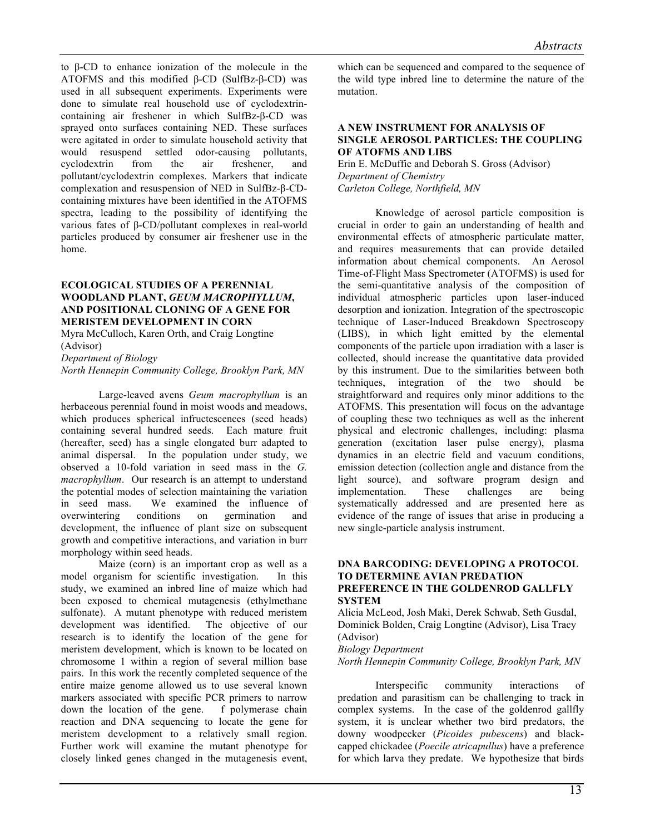to β-CD to enhance ionization of the molecule in the ATOFMS and this modified β-CD (SulfBz-β-CD) was used in all subsequent experiments. Experiments were done to simulate real household use of cyclodextrincontaining air freshener in which SulfBz-β-CD was sprayed onto surfaces containing NED. These surfaces were agitated in order to simulate household activity that would resuspend settled odor-causing pollutants, cyclodextrin from the air freshener, and pollutant/cyclodextrin complexes. Markers that indicate complexation and resuspension of NED in SulfBz-β-CDcontaining mixtures have been identified in the ATOFMS spectra, leading to the possibility of identifying the various fates of β-CD/pollutant complexes in real-world particles produced by consumer air freshener use in the home.

# **ECOLOGICAL STUDIES OF A PERENNIAL WOODLAND PLANT,** *GEUM MACROPHYLLUM***, AND POSITIONAL CLONING OF A GENE FOR MERISTEM DEVELOPMENT IN CORN**

Myra McCulloch, Karen Orth, and Craig Longtine (Advisor)

*Department of Biology*

*North Hennepin Community College, Brooklyn Park, MN*

Large-leaved avens *Geum macrophyllum* is an herbaceous perennial found in moist woods and meadows, which produces spherical infructescences (seed heads) containing several hundred seeds. Each mature fruit (hereafter, seed) has a single elongated burr adapted to animal dispersal. In the population under study, we observed a 10-fold variation in seed mass in the *G. macrophyllum*. Our research is an attempt to understand the potential modes of selection maintaining the variation in seed mass. We examined the influence of overwintering conditions on germination and development, the influence of plant size on subsequent growth and competitive interactions, and variation in burr morphology within seed heads.

Maize (corn) is an important crop as well as a model organism for scientific investigation. In this study, we examined an inbred line of maize which had been exposed to chemical mutagenesis (ethylmethane sulfonate). A mutant phenotype with reduced meristem development was identified. The objective of our research is to identify the location of the gene for meristem development, which is known to be located on chromosome 1 within a region of several million base pairs. In this work the recently completed sequence of the entire maize genome allowed us to use several known markers associated with specific PCR primers to narrow down the location of the gene. f polymerase chain reaction and DNA sequencing to locate the gene for meristem development to a relatively small region. Further work will examine the mutant phenotype for closely linked genes changed in the mutagenesis event, which can be sequenced and compared to the sequence of the wild type inbred line to determine the nature of the mutation.

#### **A NEW INSTRUMENT FOR ANALYSIS OF SINGLE AEROSOL PARTICLES: THE COUPLING OF ATOFMS AND LIBS**

Erin E. McDuffie and Deborah S. Gross (Advisor) *Department of Chemistry Carleton College, Northfield, MN*

Knowledge of aerosol particle composition is crucial in order to gain an understanding of health and environmental effects of atmospheric particulate matter, and requires measurements that can provide detailed information about chemical components. An Aerosol Time-of-Flight Mass Spectrometer (ATOFMS) is used for the semi-quantitative analysis of the composition of individual atmospheric particles upon laser-induced desorption and ionization. Integration of the spectroscopic technique of Laser-Induced Breakdown Spectroscopy (LIBS), in which light emitted by the elemental components of the particle upon irradiation with a laser is collected, should increase the quantitative data provided by this instrument. Due to the similarities between both techniques, integration of the two should be straightforward and requires only minor additions to the ATOFMS. This presentation will focus on the advantage of coupling these two techniques as well as the inherent physical and electronic challenges, including: plasma generation (excitation laser pulse energy), plasma dynamics in an electric field and vacuum conditions, emission detection (collection angle and distance from the light source), and software program design and implementation. These challenges are being systematically addressed and are presented here as evidence of the range of issues that arise in producing a new single-particle analysis instrument.

# **DNA BARCODING: DEVELOPING A PROTOCOL TO DETERMINE AVIAN PREDATION PREFERENCE IN THE GOLDENROD GALLFLY SYSTEM**

Alicia McLeod, Josh Maki, Derek Schwab, Seth Gusdal, Dominick Bolden, Craig Longtine (Advisor), Lisa Tracy (Advisor)

*Biology Department*

*North Hennepin Community College, Brooklyn Park, MN*

Interspecific community interactions of predation and parasitism can be challenging to track in complex systems. In the case of the goldenrod gallfly system, it is unclear whether two bird predators, the downy woodpecker (*Picoides pubescens*) and blackcapped chickadee (*Poecile atricapullus*) have a preference for which larva they predate. We hypothesize that birds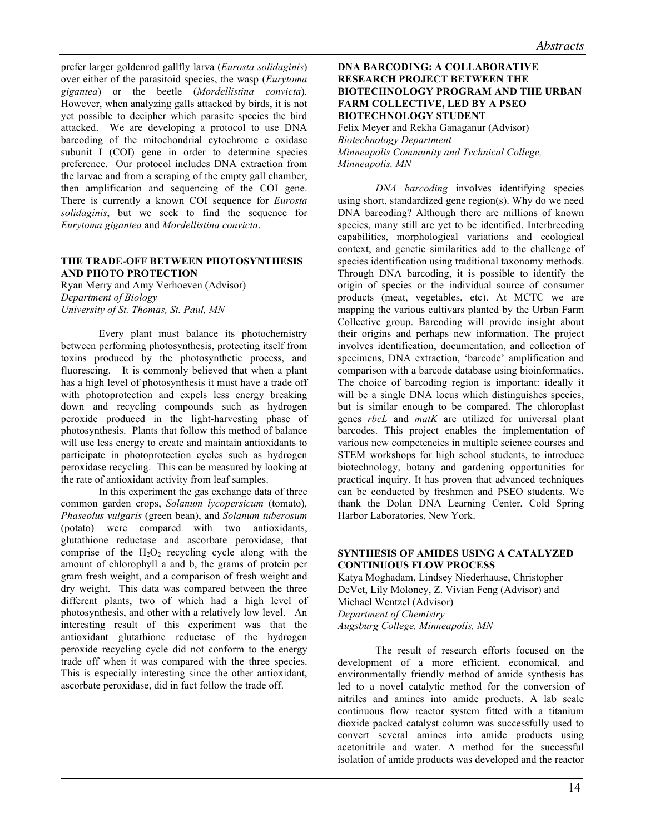prefer larger goldenrod gallfly larva (*Eurosta solidaginis*) over either of the parasitoid species, the wasp (*Eurytoma gigantea*) or the beetle (*Mordellistina convicta*). However, when analyzing galls attacked by birds, it is not yet possible to decipher which parasite species the bird attacked. We are developing a protocol to use DNA barcoding of the mitochondrial cytochrome c oxidase subunit I (COI) gene in order to determine species preference. Our protocol includes DNA extraction from the larvae and from a scraping of the empty gall chamber, then amplification and sequencing of the COI gene. There is currently a known COI sequence for *Eurosta solidaginis*, but we seek to find the sequence for *Eurytoma gigantea* and *Mordellistina convicta*.

# **THE TRADE-OFF BETWEEN PHOTOSYNTHESIS AND PHOTO PROTECTION**

Ryan Merry and Amy Verhoeven (Advisor) *Department of Biology University of St. Thomas, St. Paul, MN* 

Every plant must balance its photochemistry between performing photosynthesis, protecting itself from toxins produced by the photosynthetic process, and fluorescing. It is commonly believed that when a plant has a high level of photosynthesis it must have a trade off with photoprotection and expels less energy breaking down and recycling compounds such as hydrogen peroxide produced in the light-harvesting phase of photosynthesis. Plants that follow this method of balance will use less energy to create and maintain antioxidants to participate in photoprotection cycles such as hydrogen peroxidase recycling. This can be measured by looking at the rate of antioxidant activity from leaf samples.

In this experiment the gas exchange data of three common garden crops, *Solanum lycopersicum* (tomato)*, Phaseolus vulgaris* (green bean), and *Solanum tuberosum*  (potato) were compared with two antioxidants, glutathione reductase and ascorbate peroxidase, that comprise of the  $H_2O_2$  recycling cycle along with the amount of chlorophyll a and b, the grams of protein per gram fresh weight, and a comparison of fresh weight and dry weight. This data was compared between the three different plants, two of which had a high level of photosynthesis, and other with a relatively low level. An interesting result of this experiment was that the antioxidant glutathione reductase of the hydrogen peroxide recycling cycle did not conform to the energy trade off when it was compared with the three species. This is especially interesting since the other antioxidant, ascorbate peroxidase, did in fact follow the trade off.

#### **DNA BARCODING: A COLLABORATIVE RESEARCH PROJECT BETWEEN THE BIOTECHNOLOGY PROGRAM AND THE URBAN FARM COLLECTIVE, LED BY A PSEO BIOTECHNOLOGY STUDENT** Felix Meyer and Rekha Ganaganur (Advisor) *Biotechnology Department Minneapolis Community and Technical College, Minneapolis, MN*

*DNA barcoding* involves identifying species using short, standardized gene region(s). Why do we need DNA barcoding? Although there are millions of known species, many still are yet to be identified. Interbreeding capabilities, morphological variations and ecological context, and genetic similarities add to the challenge of species identification using traditional taxonomy methods. Through DNA barcoding, it is possible to identify the origin of species or the individual source of consumer products (meat, vegetables, etc). At MCTC we are mapping the various cultivars planted by the Urban Farm Collective group. Barcoding will provide insight about their origins and perhaps new information. The project involves identification, documentation, and collection of specimens, DNA extraction, 'barcode' amplification and comparison with a barcode database using bioinformatics. The choice of barcoding region is important: ideally it will be a single DNA locus which distinguishes species, but is similar enough to be compared. The chloroplast genes *rbcL* and *matK* are utilized for universal plant barcodes. This project enables the implementation of various new competencies in multiple science courses and STEM workshops for high school students, to introduce biotechnology, botany and gardening opportunities for practical inquiry. It has proven that advanced techniques can be conducted by freshmen and PSEO students. We thank the Dolan DNA Learning Center, Cold Spring Harbor Laboratories, New York.

# **SYNTHESIS OF AMIDES USING A CATALYZED CONTINUOUS FLOW PROCESS**

Katya Moghadam, Lindsey Niederhause, Christopher DeVet, Lily Moloney, Z. Vivian Feng (Advisor) and Michael Wentzel (Advisor) *Department of Chemistry Augsburg College, Minneapolis, MN*

The result of research efforts focused on the development of a more efficient, economical, and environmentally friendly method of amide synthesis has led to a novel catalytic method for the conversion of nitriles and amines into amide products. A lab scale continuous flow reactor system fitted with a titanium dioxide packed catalyst column was successfully used to convert several amines into amide products using acetonitrile and water. A method for the successful isolation of amide products was developed and the reactor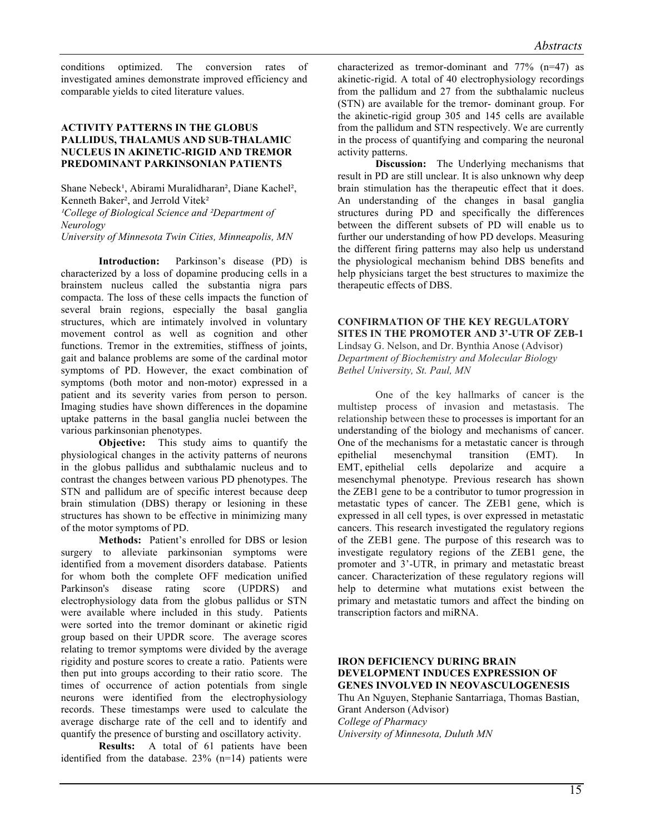conditions optimized. The conversion rates of investigated amines demonstrate improved efficiency and comparable yields to cited literature values.

# **ACTIVITY PATTERNS IN THE GLOBUS PALLIDUS, THALAMUS AND SUB-THALAMIC NUCLEUS IN AKINETIC-RIGID AND TREMOR PREDOMINANT PARKINSONIAN PATIENTS**

Shane Nebeck<sup>1</sup>, Abirami Muralidharan<sup>2</sup>, Diane Kachel<sup>2</sup>, Kenneth Baker², and Jerrold Vitek² *¹College of Biological Science and ²Department of Neurology University of Minnesota Twin Cities, Minneapolis, MN*

**Introduction:** Parkinson's disease (PD) is characterized by a loss of dopamine producing cells in a brainstem nucleus called the substantia nigra pars compacta. The loss of these cells impacts the function of several brain regions, especially the basal ganglia structures, which are intimately involved in voluntary movement control as well as cognition and other functions. Tremor in the extremities, stiffness of joints, gait and balance problems are some of the cardinal motor symptoms of PD. However, the exact combination of symptoms (both motor and non-motor) expressed in a patient and its severity varies from person to person. Imaging studies have shown differences in the dopamine uptake patterns in the basal ganglia nuclei between the various parkinsonian phenotypes.

**Objective:** This study aims to quantify the physiological changes in the activity patterns of neurons in the globus pallidus and subthalamic nucleus and to contrast the changes between various PD phenotypes. The STN and pallidum are of specific interest because deep brain stimulation (DBS) therapy or lesioning in these structures has shown to be effective in minimizing many of the motor symptoms of PD.

**Methods:** Patient's enrolled for DBS or lesion surgery to alleviate parkinsonian symptoms were identified from a movement disorders database. Patients for whom both the complete OFF medication unified Parkinson's disease rating score (UPDRS) and electrophysiology data from the globus pallidus or STN were available where included in this study. Patients were sorted into the tremor dominant or akinetic rigid group based on their UPDR score. The average scores relating to tremor symptoms were divided by the average rigidity and posture scores to create a ratio. Patients were then put into groups according to their ratio score. The times of occurrence of action potentials from single neurons were identified from the electrophysiology records. These timestamps were used to calculate the average discharge rate of the cell and to identify and quantify the presence of bursting and oscillatory activity.

**Results:** A total of 61 patients have been identified from the database. 23% (n=14) patients were characterized as tremor-dominant and 77% (n=47) as akinetic-rigid. A total of 40 electrophysiology recordings from the pallidum and 27 from the subthalamic nucleus (STN) are available for the tremor- dominant group. For the akinetic-rigid group 305 and 145 cells are available from the pallidum and STN respectively. We are currently in the process of quantifying and comparing the neuronal activity patterns.

**Discussion:** The Underlying mechanisms that result in PD are still unclear. It is also unknown why deep brain stimulation has the therapeutic effect that it does. An understanding of the changes in basal ganglia structures during PD and specifically the differences between the different subsets of PD will enable us to further our understanding of how PD develops. Measuring the different firing patterns may also help us understand the physiological mechanism behind DBS benefits and help physicians target the best structures to maximize the therapeutic effects of DBS.

#### **CONFIRMATION OF THE KEY REGULATORY SITES IN THE PROMOTER AND 3'-UTR OF ZEB-1** Lindsay G. Nelson, and Dr. Bynthia Anose (Advisor)

*Department of Biochemistry and Molecular Biology Bethel University, St. Paul, MN*

One of the key hallmarks of cancer is the multistep process of invasion and metastasis. The relationship between these to processes is important for an understanding of the biology and mechanisms of cancer. One of the mechanisms for a metastatic cancer is through epithelial mesenchymal transition (EMT). In EMT, epithelial cells depolarize and acquire a mesenchymal phenotype. Previous research has shown the ZEB1 gene to be a contributor to tumor progression in metastatic types of cancer. The ZEB1 gene, which is expressed in all cell types, is over expressed in metastatic cancers. This research investigated the regulatory regions of the ZEB1 gene. The purpose of this research was to investigate regulatory regions of the ZEB1 gene, the promoter and 3'-UTR, in primary and metastatic breast cancer. Characterization of these regulatory regions will help to determine what mutations exist between the primary and metastatic tumors and affect the binding on transcription factors and miRNA.

# **IRON DEFICIENCY DURING BRAIN DEVELOPMENT INDUCES EXPRESSION OF GENES INVOLVED IN NEOVASCULOGENESIS**  Thu An Nguyen, Stephanie Santarriaga, Thomas Bastian, Grant Anderson (Advisor) *College of Pharmacy*

*University of Minnesota, Duluth MN*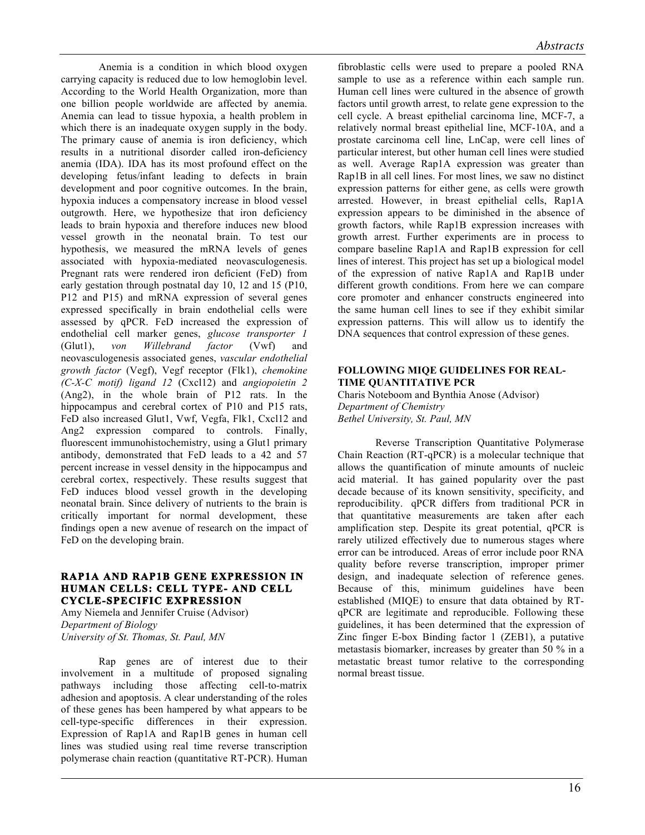*Abstracts*

Anemia is a condition in which blood oxygen carrying capacity is reduced due to low hemoglobin level. According to the World Health Organization, more than one billion people worldwide are affected by anemia. Anemia can lead to tissue hypoxia, a health problem in which there is an inadequate oxygen supply in the body. The primary cause of anemia is iron deficiency, which results in a nutritional disorder called iron-deficiency anemia (IDA). IDA has its most profound effect on the developing fetus/infant leading to defects in brain development and poor cognitive outcomes. In the brain, hypoxia induces a compensatory increase in blood vessel outgrowth. Here, we hypothesize that iron deficiency leads to brain hypoxia and therefore induces new blood vessel growth in the neonatal brain. To test our hypothesis, we measured the mRNA levels of genes associated with hypoxia-mediated neovasculogenesis. Pregnant rats were rendered iron deficient (FeD) from early gestation through postnatal day 10, 12 and 15 (P10, P12 and P15) and mRNA expression of several genes expressed specifically in brain endothelial cells were assessed by qPCR. FeD increased the expression of endothelial cell marker genes, *glucose transporter 1* (Glut1), *von Willebrand factor* (Vwf) and neovasculogenesis associated genes, *vascular endothelial growth factor* (Vegf), Vegf receptor (Flk1), *chemokine (C-X-C motif) ligand 12* (Cxcl12) and *angiopoietin 2* (Ang2), in the whole brain of P12 rats. In the hippocampus and cerebral cortex of P10 and P15 rats, FeD also increased Glut1, Vwf, Vegfa, Flk1, Cxcl12 and Ang2 expression compared to controls. Finally, fluorescent immunohistochemistry, using a Glut1 primary antibody, demonstrated that FeD leads to a 42 and 57 percent increase in vessel density in the hippocampus and cerebral cortex, respectively. These results suggest that FeD induces blood vessel growth in the developing neonatal brain. Since delivery of nutrients to the brain is critically important for normal development, these findings open a new avenue of research on the impact of FeD on the developing brain.

# **RAP1A AND RAP1B GENE EXPRESSION IN HUMAN CELLS: CELL TYPE- AND CELL CYCLE-SPECIFIC EXPRESSION**

Amy Niemela and Jennifer Cruise (Advisor) *Department of Biology University of St. Thomas, St. Paul, MN*

Rap genes are of interest due to their involvement in a multitude of proposed signaling pathways including those affecting cell-to-matrix adhesion and apoptosis. A clear understanding of the roles of these genes has been hampered by what appears to be cell-type-specific differences in their expression. Expression of Rap1A and Rap1B genes in human cell lines was studied using real time reverse transcription polymerase chain reaction (quantitative RT-PCR). Human fibroblastic cells were used to prepare a pooled RNA sample to use as a reference within each sample run. Human cell lines were cultured in the absence of growth factors until growth arrest, to relate gene expression to the cell cycle. A breast epithelial carcinoma line, MCF-7, a relatively normal breast epithelial line, MCF-10A, and a prostate carcinoma cell line, LnCap, were cell lines of particular interest, but other human cell lines were studied as well. Average Rap1A expression was greater than Rap1B in all cell lines. For most lines, we saw no distinct expression patterns for either gene, as cells were growth arrested. However, in breast epithelial cells, Rap1A expression appears to be diminished in the absence of growth factors, while Rap1B expression increases with growth arrest. Further experiments are in process to compare baseline Rap1A and Rap1B expression for cell lines of interest. This project has set up a biological model of the expression of native Rap1A and Rap1B under different growth conditions. From here we can compare core promoter and enhancer constructs engineered into the same human cell lines to see if they exhibit similar expression patterns. This will allow us to identify the DNA sequences that control expression of these genes.

# **FOLLOWING MIQE GUIDELINES FOR REAL-TIME QUANTITATIVE PCR**

Charis Noteboom and Bynthia Anose (Advisor) *Department of Chemistry Bethel University, St. Paul, MN*

Reverse Transcription Quantitative Polymerase Chain Reaction (RT-qPCR) is a molecular technique that allows the quantification of minute amounts of nucleic acid material. It has gained popularity over the past decade because of its known sensitivity, specificity, and reproducibility. qPCR differs from traditional PCR in that quantitative measurements are taken after each amplification step. Despite its great potential, qPCR is rarely utilized effectively due to numerous stages where error can be introduced. Areas of error include poor RNA quality before reverse transcription, improper primer design, and inadequate selection of reference genes. Because of this, minimum guidelines have been established (MIQE) to ensure that data obtained by RTqPCR are legitimate and reproducible. Following these guidelines, it has been determined that the expression of Zinc finger E-box Binding factor 1 (ZEB1), a putative metastasis biomarker, increases by greater than 50 % in a metastatic breast tumor relative to the corresponding normal breast tissue.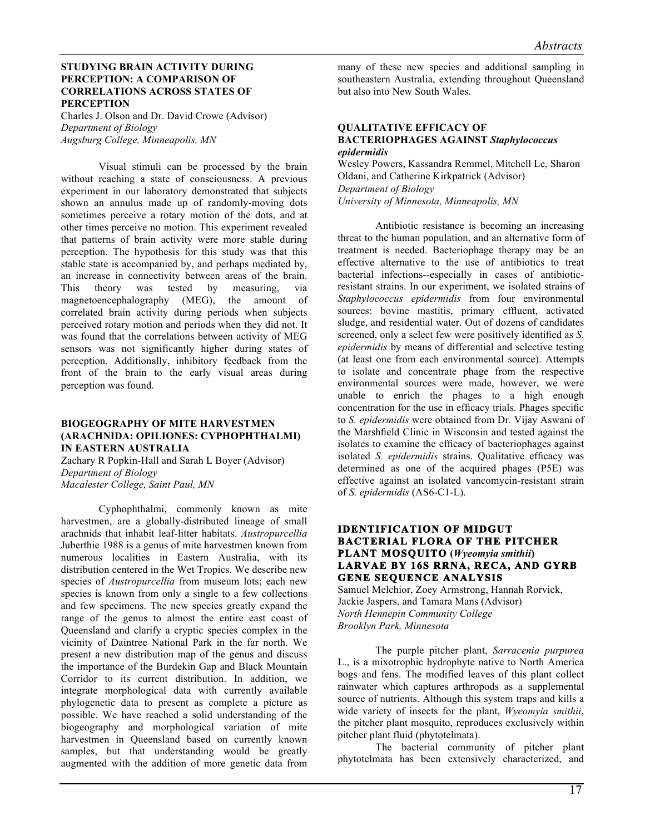# **STUDYING BRAIN ACTIVITY DURING PERCEPTION: A COMPARISON OF CORRELATIONS ACROSS STATES OF PERCEPTION**

Charles J. Olson and Dr. David Crowe (Advisor) *Department of Biology Augsburg College, Minneapolis, MN*

Visual stimuli can be processed by the brain without reaching a state of consciousness. A previous experiment in our laboratory demonstrated that subjects shown an annulus made up of randomly-moving dots sometimes perceive a rotary motion of the dots, and at other times perceive no motion. This experiment revealed that patterns of brain activity were more stable during perception. The hypothesis for this study was that this stable state is accompanied by, and perhaps mediated by, an increase in connectivity between areas of the brain. This theory was tested by measuring, via magnetoencephalography (MEG), the amount of correlated brain activity during periods when subjects perceived rotary motion and periods when they did not. It was found that the correlations between activity of MEG sensors was not significantly higher during states of perception. Additionally, inhibitory feedback from the front of the brain to the early visual areas during perception was found.

# **BIOGEOGRAPHY OF MITE HARVESTMEN (ARACHNIDA: OPILIONES: CYPHOPHTHALMI) IN EASTERN AUSTRALIA**

Zachary R Popkin-Hall and Sarah L Boyer (Advisor) *Department of Biology Macalester College, Saint Paul, MN*

Cyphophthalmi, commonly known as mite harvestmen, are a globally-distributed lineage of small arachnids that inhabit leaf-litter habitats. *Austropurcellia* Juberthie 1988 is a genus of mite harvestmen known from numerous localities in Eastern Australia, with its distribution centered in the Wet Tropics. We describe new species of *Austropurcellia* from museum lots; each new species is known from only a single to a few collections and few specimens. The new species greatly expand the range of the genus to almost the entire east coast of Queensland and clarify a cryptic species complex in the vicinity of Daintree National Park in the far north. We present a new distribution map of the genus and discuss the importance of the Burdekin Gap and Black Mountain Corridor to its current distribution. In addition, we integrate morphological data with currently available phylogenetic data to present as complete a picture as possible. We have reached a solid understanding of the biogeography and morphological variation of mite harvestmen in Queensland based on currently known samples, but that understanding would be greatly augmented with the addition of more genetic data from many of these new species and additional sampling in southeastern Australia, extending throughout Queensland but also into New South Wales.

#### **QUALITATIVE EFFICACY OF BACTERIOPHAGES AGAINST** *Staphylococcus epidermidis*

Wesley Powers, Kassandra Remmel, Mitchell Le, Sharon Oldani, and Catherine Kirkpatrick (Advisor) *Department of Biology*

*University of Minnesota, Minneapolis, MN*

Antibiotic resistance is becoming an increasing threat to the human population, and an alternative form of treatment is needed. Bacteriophage therapy may be an effective alternative to the use of antibiotics to treat bacterial infections--especially in cases of antibioticresistant strains. In our experiment, we isolated strains of *Staphylococcus epidermidis* from four environmental sources: bovine mastitis, primary effluent, activated sludge, and residential water. Out of dozens of candidates screened, only a select few were positively identified as *S. epidermidis* by means of differential and selective testing (at least one from each environmental source). Attempts to isolate and concentrate phage from the respective environmental sources were made, however, we were unable to enrich the phages to a high enough concentration for the use in efficacy trials. Phages specific to *S. epidermidis* were obtained from Dr. Vijay Aswani of the Marshfield Clinic in Wisconsin and tested against the isolates to examine the efficacy of bacteriophages against isolated *S. epidermidis* strains. Qualitative efficacy was determined as one of the acquired phages (P5E) was effective against an isolated vancomycin-resistant strain of *S. epidermidis* (AS6-C1-L).

# **IDENTIFICATION OF MIDGUT BACTERIAL FLORA OF THE PITCHER PLANT MOSQUITO (***Wyeomyia smithii***) LARVAE BY 16S RRNA, RECA, AND GYRB GENE SEQUENCE ANALYSIS**

Samuel Melchior, Zoey Armstrong, Hannah Rorvick, Jackie Jaspers, and Tamara Mans (Advisor) *North Hennepin Community College Brooklyn Park, Minnesota*

The purple pitcher plant, *Sarracenia purpurea*  L., is a mixotrophic hydrophyte native to North America bogs and fens. The modified leaves of this plant collect rainwater which captures arthropods as a supplemental source of nutrients. Although this system traps and kills a wide variety of insects for the plant, *Wyeomyia smithii*, the pitcher plant mosquito, reproduces exclusively within pitcher plant fluid (phytotelmata).

The bacterial community of pitcher plant phytotelmata has been extensively characterized, and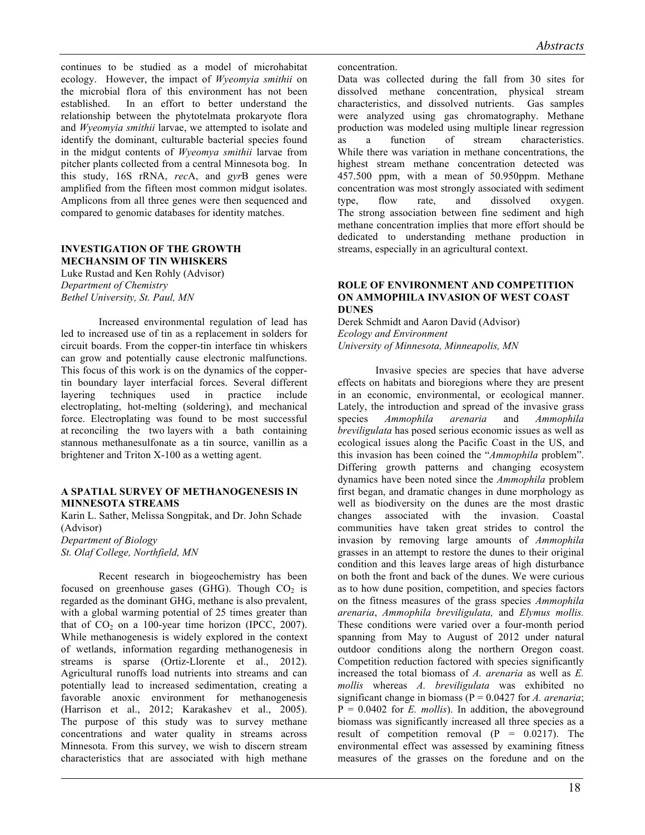continues to be studied as a model of microhabitat ecology. However, the impact of *Wyeomyia smithii* on the microbial flora of this environment has not been established. In an effort to better understand the relationship between the phytotelmata prokaryote flora and *Wyeomyia smithii* larvae, we attempted to isolate and identify the dominant, culturable bacterial species found in the midgut contents of *Wyeomya smithii* larvae from pitcher plants collected from a central Minnesota bog. In this study, 16S rRNA, *rec*A, and *gyr*B genes were amplified from the fifteen most common midgut isolates. Amplicons from all three genes were then sequenced and compared to genomic databases for identity matches.

# **INVESTIGATION OF THE GROWTH MECHANSIM OF TIN WHISKERS**

Luke Rustad and Ken Rohly (Advisor) *Department of Chemistry Bethel University, St. Paul, MN*

Increased environmental regulation of lead has led to increased use of tin as a replacement in solders for circuit boards. From the copper-tin interface tin whiskers can grow and potentially cause electronic malfunctions. This focus of this work is on the dynamics of the coppertin boundary layer interfacial forces. Several different layering techniques used in practice include electroplating, hot-melting (soldering), and mechanical force. Electroplating was found to be most successful at reconciling the two layers with a bath containing stannous methanesulfonate as a tin source, vanillin as a brightener and Triton X-100 as a wetting agent.

#### **A SPATIAL SURVEY OF METHANOGENESIS IN MINNESOTA STREAMS**

Karin L. Sather, Melissa Songpitak, and Dr. John Schade (Advisor) *Department of Biology*

*St. Olaf College, Northfield, MN*

Recent research in biogeochemistry has been focused on greenhouse gases (GHG). Though  $CO<sub>2</sub>$  is regarded as the dominant GHG, methane is also prevalent, with a global warming potential of 25 times greater than that of  $CO<sub>2</sub>$  on a 100-year time horizon (IPCC, 2007). While methanogenesis is widely explored in the context of wetlands, information regarding methanogenesis in streams is sparse (Ortiz-Llorente et al., 2012). Agricultural runoffs load nutrients into streams and can potentially lead to increased sedimentation, creating a favorable anoxic environment for methanogenesis (Harrison et al., 2012; Karakashev et al., 2005). The purpose of this study was to survey methane concentrations and water quality in streams across Minnesota. From this survey, we wish to discern stream characteristics that are associated with high methane

#### concentration.

Data was collected during the fall from 30 sites for dissolved methane concentration, physical stream characteristics, and dissolved nutrients. Gas samples were analyzed using gas chromatography. Methane production was modeled using multiple linear regression as a function of stream characteristics. While there was variation in methane concentrations, the highest stream methane concentration detected was 457.500 ppm, with a mean of 50.950ppm. Methane concentration was most strongly associated with sediment type, flow rate, and dissolved oxygen. The strong association between fine sediment and high methane concentration implies that more effort should be dedicated to understanding methane production in streams, especially in an agricultural context.

# **ROLE OF ENVIRONMENT AND COMPETITION ON AMMOPHILA INVASION OF WEST COAST DUNES**

Derek Schmidt and Aaron David (Advisor) *Ecology and Environment University of Minnesota, Minneapolis, MN* 

Invasive species are species that have adverse effects on habitats and bioregions where they are present in an economic, environmental, or ecological manner. Lately, the introduction and spread of the invasive grass species *Ammophila arenaria* and *Ammophila breviligulata* has posed serious economic issues as well as ecological issues along the Pacific Coast in the US, and this invasion has been coined the "*Ammophila* problem". Differing growth patterns and changing ecosystem dynamics have been noted since the *Ammophila* problem first began, and dramatic changes in dune morphology as well as biodiversity on the dunes are the most drastic changes associated with the invasion. Coastal communities have taken great strides to control the invasion by removing large amounts of *Ammophila* grasses in an attempt to restore the dunes to their original condition and this leaves large areas of high disturbance on both the front and back of the dunes. We were curious as to how dune position, competition, and species factors on the fitness measures of the grass species *Ammophila arenaria*, *Ammophila breviligulata,* and *Elymus mollis.*  These conditions were varied over a four-month period spanning from May to August of 2012 under natural outdoor conditions along the northern Oregon coast. Competition reduction factored with species significantly increased the total biomass of *A. arenaria* as well as *E. mollis* whereas *A. breviligulata* was exhibited no significant change in biomass (P = 0.0427 for *A. arenaria*;  $P = 0.0402$  for *E. mollis*). In addition, the above ground biomass was significantly increased all three species as a result of competition removal  $(P = 0.0217)$ . The environmental effect was assessed by examining fitness measures of the grasses on the foredune and on the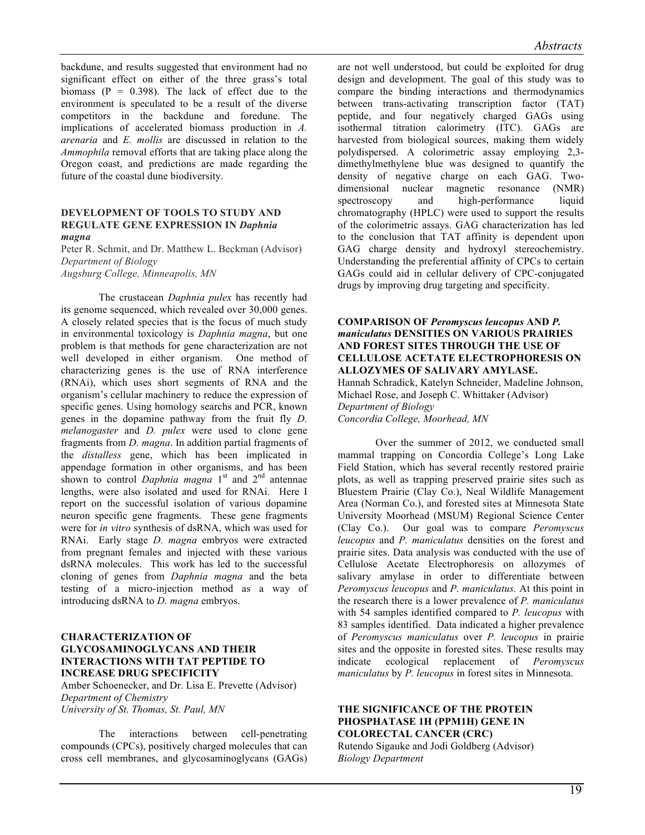backdune, and results suggested that environment had no significant effect on either of the three grass's total biomass  $(P = 0.398)$ . The lack of effect due to the environment is speculated to be a result of the diverse competitors in the backdune and foredune. The implications of accelerated biomass production in *A. arenaria* and *E. mollis* are discussed in relation to the *Ammophila* removal efforts that are taking place along the Oregon coast, and predictions are made regarding the future of the coastal dune biodiversity.

#### **DEVELOPMENT OF TOOLS TO STUDY AND REGULATE GENE EXPRESSION IN** *Daphnia magna*

Peter R. Schmit, and Dr. Matthew L. Beckman (Advisor) *Department of Biology Augsburg College, Minneapolis, MN*

The crustacean *Daphnia pulex* has recently had its genome sequenced, which revealed over 30,000 genes. A closely related species that is the focus of much study in environmental toxicology is *Daphnia magna*, but one problem is that methods for gene characterization are not well developed in either organism. One method of characterizing genes is the use of RNA interference (RNAi), which uses short segments of RNA and the organism's cellular machinery to reduce the expression of specific genes. Using homology searchs and PCR, known genes in the dopamine pathway from the fruit fly *D. melanogaster* and *D. pulex* were used to clone gene fragments from *D. magna*. In addition partial fragments of the *distalless* gene, which has been implicated in appendage formation in other organisms, and has been shown to control *Daphnia magna* 1<sup>st</sup> and 2<sup>nd</sup> antennae lengths, were also isolated and used for RNAi. Here I report on the successful isolation of various dopamine neuron specific gene fragments. These gene fragments were for *in vitro* synthesis of dsRNA, which was used for RNAi. Early stage *D. magna* embryos were extracted from pregnant females and injected with these various dsRNA molecules. This work has led to the successful cloning of genes from *Daphnia magna* and the beta testing of a micro-injection method as a way of introducing dsRNA to *D. magna* embryos.

# **CHARACTERIZATION OF GLYCOSAMINOGLYCANS AND THEIR INTERACTIONS WITH TAT PEPTIDE TO INCREASE DRUG SPECIFICITY**

Amber Schoenecker, and Dr. Lisa E. Prevette (Advisor) *Department of Chemistry University of St. Thomas, St. Paul, MN*

The interactions between cell-penetrating compounds (CPCs), positively charged molecules that can cross cell membranes, and glycosaminoglycans (GAGs) are not well understood, but could be exploited for drug design and development. The goal of this study was to compare the binding interactions and thermodynamics between trans-activating transcription factor (TAT) peptide, and four negatively charged GAGs using isothermal titration calorimetry (ITC). GAGs are harvested from biological sources, making them widely polydispersed. A colorimetric assay employing 2,3 dimethylmethylene blue was designed to quantify the density of negative charge on each GAG. Twodimensional nuclear magnetic resonance (NMR) spectroscopy and high-performance liquid chromatography (HPLC) were used to support the results of the colorimetric assays. GAG characterization has led to the conclusion that TAT affinity is dependent upon GAG charge density and hydroxyl stereochemistry. Understanding the preferential affinity of CPCs to certain GAGs could aid in cellular delivery of CPC-conjugated drugs by improving drug targeting and specificity.

# **COMPARISON OF** *Peromyscus leucopus* **AND** *P. maniculatus* **DENSITIES ON VARIOUS PRAIRIES AND FOREST SITES THROUGH THE USE OF CELLULOSE ACETATE ELECTROPHORESIS ON ALLOZYMES OF SALIVARY AMYLASE.**

Hannah Schradick, Katelyn Schneider, Madeline Johnson, Michael Rose, and Joseph C. Whittaker (Advisor) *Department of Biology Concordia College, Moorhead, MN*

Over the summer of 2012, we conducted small mammal trapping on Concordia College's Long Lake Field Station, which has several recently restored prairie plots, as well as trapping preserved prairie sites such as Bluestem Prairie (Clay Co.), Neal Wildlife Management Area (Norman Co.), and forested sites at Minnesota State University Moorhead (MSUM) Regional Science Center (Clay Co.). Our goal was to compare *Peromyscus leucopus* and *P. maniculatus* densities on the forest and prairie sites. Data analysis was conducted with the use of Cellulose Acetate Electrophoresis on allozymes of salivary amylase in order to differentiate between *Peromyscus leucopus* and *P. maniculatus.* At this point in the research there is a lower prevalence of *P. maniculatus*  with 54 samples identified compared to *P. leucopus* with 83 samples identified. Data indicated a higher prevalence of *Peromyscus maniculatus* over *P. leucopus* in prairie sites and the opposite in forested sites. These results may indicate ecological replacement of *Peromyscus maniculatus* by *P. leucopus* in forest sites in Minnesota.

#### **THE SIGNIFICANCE OF THE PROTEIN PHOSPHATASE 1H (PPM1H) GENE IN COLORECTAL CANCER (CRC)**

Rutendo Sigauke and Jodi Goldberg (Advisor) *Biology Department*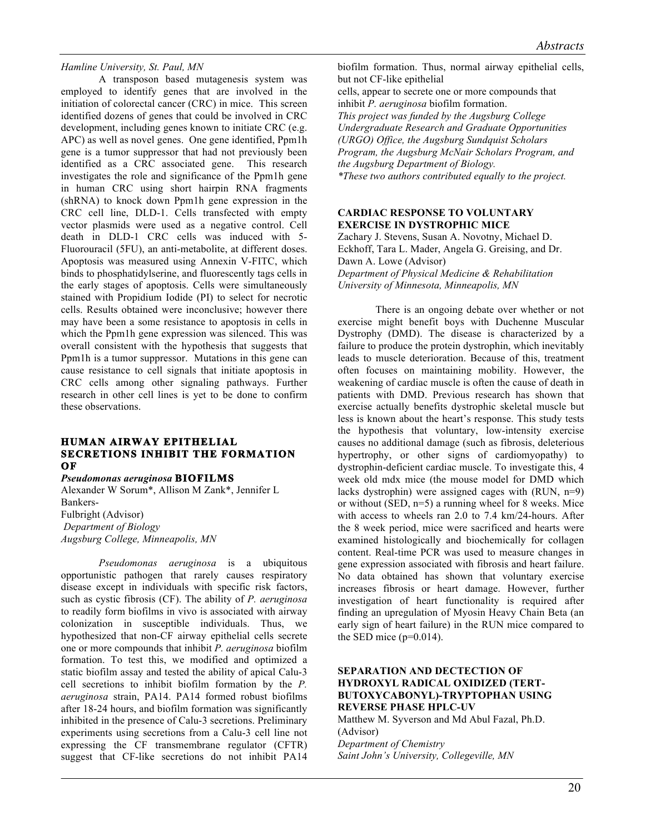#### *Hamline University, St. Paul, MN*

A transposon based mutagenesis system was employed to identify genes that are involved in the initiation of colorectal cancer (CRC) in mice. This screen identified dozens of genes that could be involved in CRC development, including genes known to initiate CRC (e.g. APC) as well as novel genes. One gene identified, Ppm1h gene is a tumor suppressor that had not previously been identified as a CRC associated gene. This research investigates the role and significance of the Ppm1h gene in human CRC using short hairpin RNA fragments (shRNA) to knock down Ppm1h gene expression in the CRC cell line, DLD-1. Cells transfected with empty vector plasmids were used as a negative control. Cell death in DLD-1 CRC cells was induced with 5- Fluorouracil (5FU), an anti-metabolite, at different doses. Apoptosis was measured using Annexin V-FITC, which binds to phosphatidylserine, and fluorescently tags cells in the early stages of apoptosis. Cells were simultaneously stained with Propidium Iodide (PI) to select for necrotic cells. Results obtained were inconclusive; however there may have been a some resistance to apoptosis in cells in which the Ppm1h gene expression was silenced. This was overall consistent with the hypothesis that suggests that Ppm1h is a tumor suppressor. Mutations in this gene can cause resistance to cell signals that initiate apoptosis in CRC cells among other signaling pathways. Further research in other cell lines is yet to be done to confirm these observations.

# **HUMAN AIRWAY EPITHELIAL SECRETIONS INHIBIT THE FORMATION OF**

*Pseudomonas aeruginosa* **BIOFILMS**

Alexander W Sorum\*, Allison M Zank\*, Jennifer L Bankers-Fulbright (Advisor) *Department of Biology Augsburg College, Minneapolis, MN*

*Pseudomonas aeruginosa* is a ubiquitous opportunistic pathogen that rarely causes respiratory disease except in individuals with specific risk factors, such as cystic fibrosis (CF). The ability of *P. aeruginosa*  to readily form biofilms in vivo is associated with airway colonization in susceptible individuals. Thus, we hypothesized that non-CF airway epithelial cells secrete one or more compounds that inhibit *P. aeruginosa* biofilm formation. To test this, we modified and optimized a static biofilm assay and tested the ability of apical Calu-3 cell secretions to inhibit biofilm formation by the *P. aeruginosa* strain, PA14. PA14 formed robust biofilms after 18-24 hours, and biofilm formation was significantly inhibited in the presence of Calu-3 secretions. Preliminary experiments using secretions from a Calu-3 cell line not expressing the CF transmembrane regulator (CFTR) suggest that CF-like secretions do not inhibit PA14

biofilm formation. Thus, normal airway epithelial cells, but not CF-like epithelial

cells, appear to secrete one or more compounds that inhibit *P. aeruginosa* biofilm formation.

*This project was funded by the Augsburg College Undergraduate Research and Graduate Opportunities (URGO) Office, the Augsburg Sundquist Scholars Program, the Augsburg McNair Scholars Program, and the Augsburg Department of Biology. \*These two authors contributed equally to the project.*

# **CARDIAC RESPONSE TO VOLUNTARY EXERCISE IN DYSTROPHIC MICE**

Zachary J. Stevens, Susan A. Novotny, Michael D. Eckhoff, Tara L. Mader, Angela G. Greising, and Dr. Dawn A. Lowe (Advisor) *Department of Physical Medicine & Rehabilitation University of Minnesota, Minneapolis, MN*

There is an ongoing debate over whether or not exercise might benefit boys with Duchenne Muscular Dystrophy (DMD). The disease is characterized by a failure to produce the protein dystrophin, which inevitably leads to muscle deterioration. Because of this, treatment often focuses on maintaining mobility. However, the weakening of cardiac muscle is often the cause of death in patients with DMD. Previous research has shown that exercise actually benefits dystrophic skeletal muscle but less is known about the heart's response. This study tests the hypothesis that voluntary, low-intensity exercise causes no additional damage (such as fibrosis, deleterious hypertrophy, or other signs of cardiomyopathy) to dystrophin-deficient cardiac muscle. To investigate this, 4 week old mdx mice (the mouse model for DMD which lacks dystrophin) were assigned cages with (RUN, n=9) or without (SED, n=5) a running wheel for 8 weeks. Mice with access to wheels ran 2.0 to 7.4 km/24-hours. After the 8 week period, mice were sacrificed and hearts were examined histologically and biochemically for collagen content. Real-time PCR was used to measure changes in gene expression associated with fibrosis and heart failure. No data obtained has shown that voluntary exercise increases fibrosis or heart damage. However, further investigation of heart functionality is required after finding an upregulation of Myosin Heavy Chain Beta (an early sign of heart failure) in the RUN mice compared to the SED mice  $(p=0.014)$ .

# **SEPARATION AND DECTECTION OF HYDROXYL RADICAL OXIDIZED (TERT-BUTOXYCABONYL)-TRYPTOPHAN USING REVERSE PHASE HPLC-UV**

Matthew M. Syverson and Md Abul Fazal, Ph.D. (Advisor) *Department of Chemistry Saint John's University, Collegeville, MN*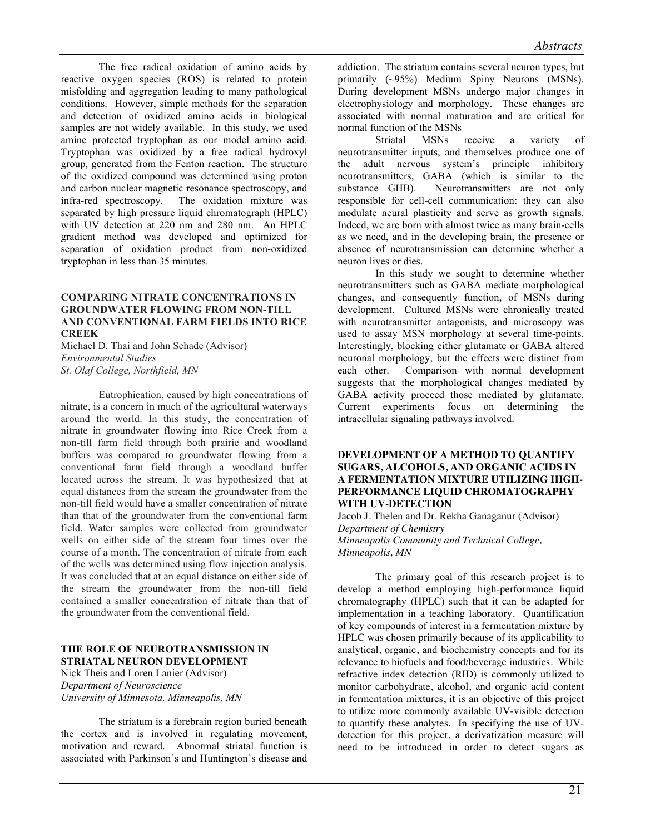The free radical oxidation of amino acids by reactive oxygen species (ROS) is related to protein misfolding and aggregation leading to many pathological conditions. However, simple methods for the separation and detection of oxidized amino acids in biological samples are not widely available. In this study, we used amine protected tryptophan as our model amino acid. Tryptophan was oxidized by a free radical hydroxyl group, generated from the Fenton reaction. The structure of the oxidized compound was determined using proton and carbon nuclear magnetic resonance spectroscopy, and infra-red spectroscopy. The oxidation mixture was separated by high pressure liquid chromatograph (HPLC) with UV detection at 220 nm and 280 nm. An HPLC gradient method was developed and optimized for separation of oxidation product from non-oxidized tryptophan in less than 35 minutes.

# **COMPARING NITRATE CONCENTRATIONS IN GROUNDWATER FLOWING FROM NON-TILL AND CONVENTIONAL FARM FIELDS INTO RICE CREEK**

Michael D. Thai and John Schade (Advisor) *Environmental Studies St. Olaf College, Northfield, MN*

Eutrophication, caused by high concentrations of nitrate, is a concern in much of the agricultural waterways around the world. In this study, the concentration of nitrate in groundwater flowing into Rice Creek from a non-till farm field through both prairie and woodland buffers was compared to groundwater flowing from a conventional farm field through a woodland buffer located across the stream. It was hypothesized that at equal distances from the stream the groundwater from the non-till field would have a smaller concentration of nitrate than that of the groundwater from the conventional farm field. Water samples were collected from groundwater wells on either side of the stream four times over the course of a month. The concentration of nitrate from each of the wells was determined using flow injection analysis. It was concluded that at an equal distance on either side of the stream the groundwater from the non-till field contained a smaller concentration of nitrate than that of the groundwater from the conventional field.

# **THE ROLE OF NEUROTRANSMISSION IN STRIATAL NEURON DEVELOPMENT**

Nick Theis and Loren Lanier (Advisor) *Department of Neuroscience University of Minnesota, Minneapolis, MN*

The striatum is a forebrain region buried beneath the cortex and is involved in regulating movement, motivation and reward. Abnormal striatal function is associated with Parkinson's and Huntington's disease and addiction. The striatum contains several neuron types, but primarily (~95%) Medium Spiny Neurons (MSNs). During development MSNs undergo major changes in electrophysiology and morphology. These changes are associated with normal maturation and are critical for normal function of the MSNs

Striatal MSNs receive a variety of neurotransmitter inputs, and themselves produce one of the adult nervous system's principle inhibitory neurotransmitters, GABA (which is similar to the substance GHB). Neurotransmitters are not only responsible for cell-cell communication: they can also modulate neural plasticity and serve as growth signals. Indeed, we are born with almost twice as many brain-cells as we need, and in the developing brain, the presence or absence of neurotransmission can determine whether a neuron lives or dies.

In this study we sought to determine whether neurotransmitters such as GABA mediate morphological changes, and consequently function, of MSNs during development. Cultured MSNs were chronically treated with neurotransmitter antagonists, and microscopy was used to assay MSN morphology at several time-points. Interestingly, blocking either glutamate or GABA altered neuronal morphology, but the effects were distinct from each other. Comparison with normal development suggests that the morphological changes mediated by GABA activity proceed those mediated by glutamate. Current experiments focus on determining the intracellular signaling pathways involved.

#### **DEVELOPMENT OF A METHOD TO QUANTIFY SUGARS, ALCOHOLS, AND ORGANIC ACIDS IN A FERMENTATION MIXTURE UTILIZING HIGH-PERFORMANCE LIQUID CHROMATOGRAPHY WITH UV-DETECTION**

Jacob J. Thelen and Dr. Rekha Ganaganur (Advisor) *Department of Chemistry Minneapolis Community and Technical College, Minneapolis, MN*

The primary goal of this research project is to develop a method employing high-performance liquid chromatography (HPLC) such that it can be adapted for implementation in a teaching laboratory. Quantification of key compounds of interest in a fermentation mixture by HPLC was chosen primarily because of its applicability to analytical, organic, and biochemistry concepts and for its relevance to biofuels and food/beverage industries. While refractive index detection (RID) is commonly utilized to monitor carbohydrate, alcohol, and organic acid content in fermentation mixtures, it is an objective of this project to utilize more commonly available UV-visible detection to quantify these analytes. In specifying the use of UVdetection for this project, a derivatization measure will need to be introduced in order to detect sugars as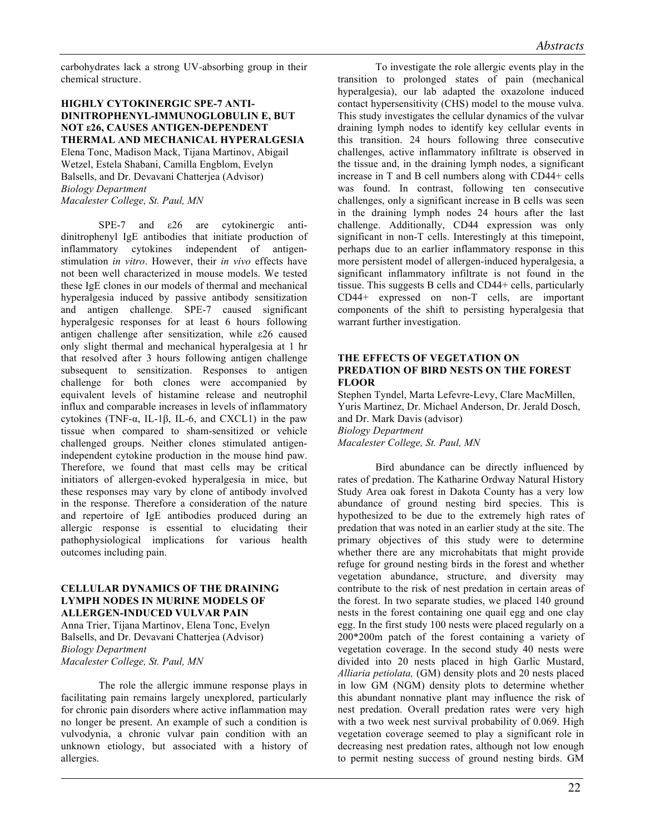carbohydrates lack a strong UV-absorbing group in their chemical structure.

#### **HIGHLY CYTOKINERGIC SPE-7 ANTI-DINITROPHENYL-IMMUNOGLOBULIN E, BUT NOT ε26, CAUSES ANTIGEN-DEPENDENT THERMAL AND MECHANICAL HYPERALGESIA**

Elena Tonc, Madison Mack, Tijana Martinov, Abigail Wetzel, Estela Shabani, Camilla Engblom, Evelyn Balsells, and Dr. Devavani Chatterjea (Advisor) *Biology Department Macalester College, St. Paul, MN*

SPE-7 and  $\varepsilon$ 26 are cytokinergic antidinitrophenyl IgE antibodies that initiate production of inflammatory cytokines independent of antigenstimulation *in vitro*. However, their *in vivo* effects have not been well characterized in mouse models. We tested these IgE clones in our models of thermal and mechanical hyperalgesia induced by passive antibody sensitization and antigen challenge. SPE-7 caused significant hyperalgesic responses for at least 6 hours following antigen challenge after sensitization, while ε26 caused only slight thermal and mechanical hyperalgesia at 1 hr that resolved after 3 hours following antigen challenge subsequent to sensitization. Responses to antigen challenge for both clones were accompanied by equivalent levels of histamine release and neutrophil influx and comparable increases in levels of inflammatory cytokines (TNF-α, IL-1β, IL-6, and CXCL1) in the paw tissue when compared to sham-sensitized or vehicle challenged groups. Neither clones stimulated antigenindependent cytokine production in the mouse hind paw. Therefore, we found that mast cells may be critical initiators of allergen-evoked hyperalgesia in mice, but these responses may vary by clone of antibody involved in the response. Therefore a consideration of the nature and repertoire of IgE antibodies produced during an allergic response is essential to elucidating their pathophysiological implications for various health outcomes including pain.

#### **CELLULAR DYNAMICS OF THE DRAINING LYMPH NODES IN MURINE MODELS OF ALLERGEN-INDUCED VULVAR PAIN**

Anna Trier, Tijana Martinov, Elena Tonc, Evelyn Balsells, and Dr. Devavani Chatterjea (Advisor) *Biology Department Macalester College, St. Paul, MN*

The role the allergic immune response plays in facilitating pain remains largely unexplored, particularly for chronic pain disorders where active inflammation may no longer be present. An example of such a condition is vulvodynia, a chronic vulvar pain condition with an unknown etiology, but associated with a history of allergies.

To investigate the role allergic events play in the transition to prolonged states of pain (mechanical hyperalgesia), our lab adapted the oxazolone induced contact hypersensitivity (CHS) model to the mouse vulva. This study investigates the cellular dynamics of the vulvar draining lymph nodes to identify key cellular events in this transition. 24 hours following three consecutive challenges, active inflammatory infiltrate is observed in the tissue and, in the draining lymph nodes, a significant increase in T and B cell numbers along with CD44+ cells was found. In contrast, following ten consecutive challenges, only a significant increase in B cells was seen in the draining lymph nodes 24 hours after the last challenge. Additionally, CD44 expression was only significant in non-T cells. Interestingly at this timepoint, perhaps due to an earlier inflammatory response in this more persistent model of allergen-induced hyperalgesia, a significant inflammatory infiltrate is not found in the tissue. This suggests B cells and CD44+ cells, particularly CD44+ expressed on non-T cells, are important components of the shift to persisting hyperalgesia that warrant further investigation.

# **THE EFFECTS OF VEGETATION ON PREDATION OF BIRD NESTS ON THE FOREST FLOOR**

Stephen Tyndel, Marta Lefevre-Levy, Clare MacMillen, Yuris Martinez, Dr. Michael Anderson, Dr. Jerald Dosch, and Dr. Mark Davis (advisor) *Biology Department Macalester College, St. Paul, MN* 

Bird abundance can be directly influenced by rates of predation. The Katharine Ordway Natural History Study Area oak forest in Dakota County has a very low abundance of ground nesting bird species. This is hypothesized to be due to the extremely high rates of predation that was noted in an earlier study at the site. The primary objectives of this study were to determine whether there are any microhabitats that might provide refuge for ground nesting birds in the forest and whether vegetation abundance, structure, and diversity may contribute to the risk of nest predation in certain areas of the forest. In two separate studies, we placed 140 ground nests in the forest containing one quail egg and one clay egg. In the first study 100 nests were placed regularly on a 200\*200m patch of the forest containing a variety of vegetation coverage. In the second study 40 nests were divided into 20 nests placed in high Garlic Mustard, *Alliaria petiolata,* (GM) density plots and 20 nests placed in low GM (NGM) density plots to determine whether this abundant nonnative plant may influence the risk of nest predation. Overall predation rates were very high with a two week nest survival probability of 0.069. High vegetation coverage seemed to play a significant role in decreasing nest predation rates, although not low enough to permit nesting success of ground nesting birds. GM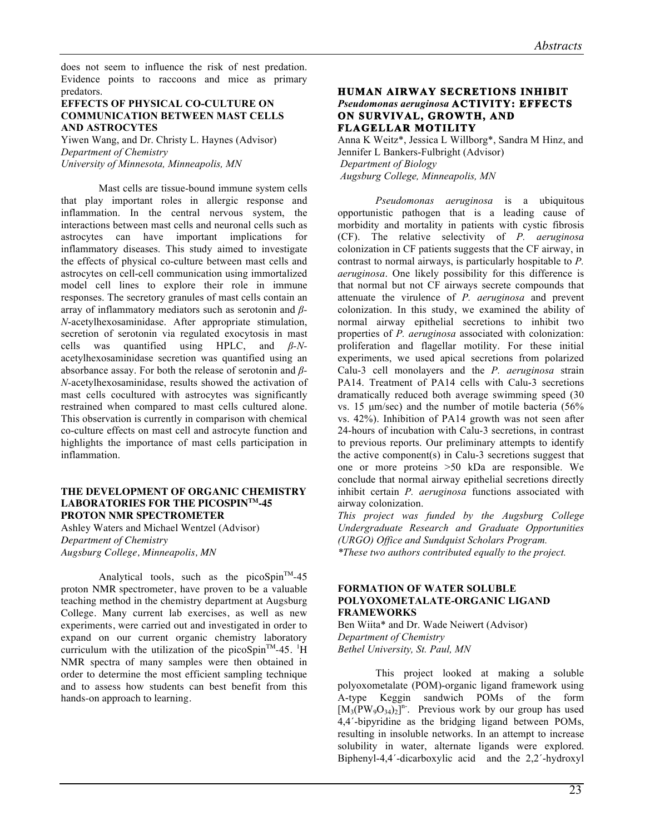does not seem to influence the risk of nest predation. Evidence points to raccoons and mice as primary predators.

# **EFFECTS OF PHYSICAL CO-CULTURE ON COMMUNICATION BETWEEN MAST CELLS AND ASTROCYTES**

Yiwen Wang, and Dr. Christy L. Haynes (Advisor) *Department of Chemistry University of Minnesota, Minneapolis, MN*

Mast cells are tissue-bound immune system cells that play important roles in allergic response and inflammation. In the central nervous system, the interactions between mast cells and neuronal cells such as astrocytes can have important implications for inflammatory diseases. This study aimed to investigate the effects of physical co-culture between mast cells and astrocytes on cell-cell communication using immortalized model cell lines to explore their role in immune responses. The secretory granules of mast cells contain an array of inflammatory mediators such as serotonin and *β-N*-acetylhexosaminidase. After appropriate stimulation, secretion of serotonin via regulated exocytosis in mast cells was quantified using HPLC, and *β-N*acetylhexosaminidase secretion was quantified using an absorbance assay. For both the release of serotonin and *β-N-*acetylhexosaminidase, results showed the activation of mast cells cocultured with astrocytes was significantly restrained when compared to mast cells cultured alone. This observation is currently in comparison with chemical co-culture effects on mast cell and astrocyte function and highlights the importance of mast cells participation in inflammation.

#### **THE DEVELOPMENT OF ORGANIC CHEMISTRY LABORATORIES FOR THE PICOSPINTM-45 PROTON NMR SPECTROMETER**

Ashley Waters and Michael Wentzel (Advisor) *Department of Chemistry Augsburg College, Minneapolis, MN*

Analytical tools, such as the picoSpin<sup>TM</sup>-45 proton NMR spectrometer, have proven to be a valuable teaching method in the chemistry department at Augsburg College. Many current lab exercises, as well as new experiments, were carried out and investigated in order to expand on our current organic chemistry laboratory curriculum with the utilization of the picoSpin<sup>TM</sup>-45. <sup>1</sup>H NMR spectra of many samples were then obtained in order to determine the most efficient sampling technique and to assess how students can best benefit from this hands-on approach to learning.

# **HUMAN AIRWAY SECRETIONS INHIBIT** *Pseudomonas aeruginosa* **ACTIVITY: EFFECTS ON SURVIVAL, GROWTH, AND FLAGELLAR MOTILITY**

Anna K Weitz\*, Jessica L Willborg\*, Sandra M Hinz, and Jennifer L Bankers-Fulbright (Advisor) *Department of Biology Augsburg College, Minneapolis, MN*

*Pseudomonas aeruginosa* is a ubiquitous opportunistic pathogen that is a leading cause of morbidity and mortality in patients with cystic fibrosis (CF). The relative selectivity of *P. aeruginosa*  colonization in CF patients suggests that the CF airway, in contrast to normal airways, is particularly hospitable to *P. aeruginosa*. One likely possibility for this difference is that normal but not CF airways secrete compounds that attenuate the virulence of *P. aeruginosa* and prevent colonization. In this study, we examined the ability of normal airway epithelial secretions to inhibit two properties of *P. aeruginosa* associated with colonization: proliferation and flagellar motility. For these initial experiments, we used apical secretions from polarized Calu-3 cell monolayers and the *P. aeruginosa* strain PA14. Treatment of PA14 cells with Calu-3 secretions dramatically reduced both average swimming speed (30 vs. 15 µm/sec) and the number of motile bacteria (56% vs. 42%). Inhibition of PA14 growth was not seen after 24-hours of incubation with Calu-3 secretions, in contrast to previous reports. Our preliminary attempts to identify the active component(s) in Calu-3 secretions suggest that one or more proteins >50 kDa are responsible. We conclude that normal airway epithelial secretions directly inhibit certain *P. aeruginosa* functions associated with airway colonization.

*This project was funded by the Augsburg College Undergraduate Research and Graduate Opportunities (URGO) Office and Sundquist Scholars Program. \*These two authors contributed equally to the project.*

# **FORMATION OF WATER SOLUBLE POLYOXOMETALATE-ORGANIC LIGAND FRAMEWORKS**

Ben Wiita\* and Dr. Wade Neiwert (Advisor) *Department of Chemistry Bethel University, St. Paul, MN* 

This project looked at making a soluble polyoxometalate (POM)-organic ligand framework using A-type Keggin sandwich POMs of the form  $[M_3(PW_9O_{34})_2]^{n}$ . Previous work by our group has used 4,4´-bipyridine as the bridging ligand between POMs, resulting in insoluble networks. In an attempt to increase solubility in water, alternate ligands were explored. Biphenyl-4,4´-dicarboxylic acid and the 2,2´-hydroxyl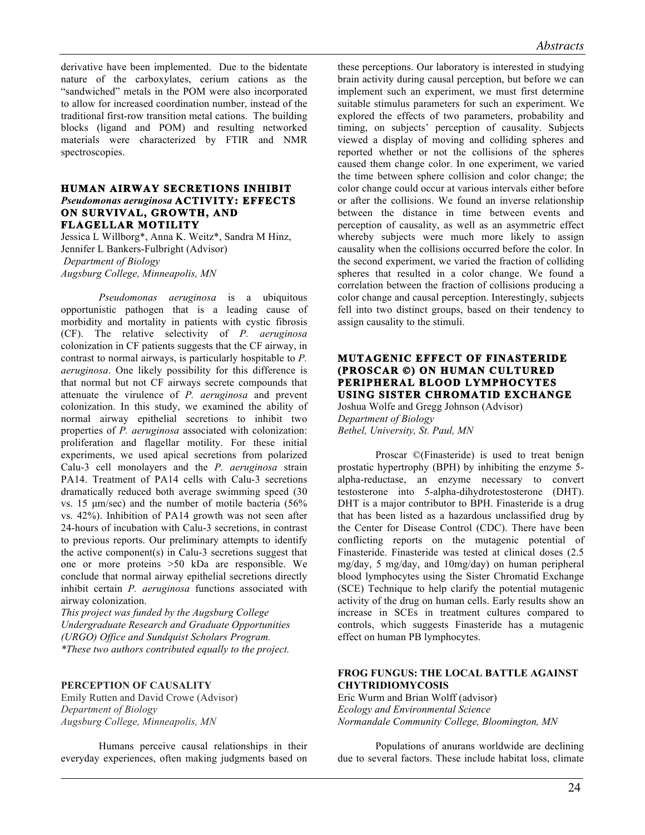derivative have been implemented. Due to the bidentate nature of the carboxylates, cerium cations as the "sandwiched" metals in the POM were also incorporated to allow for increased coordination number, instead of the traditional first-row transition metal cations. The building blocks (ligand and POM) and resulting networked materials were characterized by FTIR and NMR spectroscopies.

#### **HUMAN AIRWAY SECRETIONS INHIBIT** *Pseudomonas aeruginosa* **ACTIVITY: EFFECTS ON SURVIVAL, GROWTH, AND FLAGELLAR MOTILITY**

Jessica L Willborg\*, Anna K. Weitz\*, Sandra M Hinz, Jennifer L Bankers-Fulbright (Advisor) *Department of Biology Augsburg College, Minneapolis, MN*

*Pseudomonas aeruginosa* is a ubiquitous opportunistic pathogen that is a leading cause of morbidity and mortality in patients with cystic fibrosis (CF). The relative selectivity of *P. aeruginosa* colonization in CF patients suggests that the CF airway, in contrast to normal airways, is particularly hospitable to *P. aeruginosa*. One likely possibility for this difference is that normal but not CF airways secrete compounds that attenuate the virulence of *P. aeruginosa* and prevent colonization. In this study, we examined the ability of normal airway epithelial secretions to inhibit two properties of *P. aeruginosa* associated with colonization: proliferation and flagellar motility. For these initial experiments, we used apical secretions from polarized Calu-3 cell monolayers and the *P. aeruginosa* strain PA14. Treatment of PA14 cells with Calu-3 secretions dramatically reduced both average swimming speed (30 vs. 15 µm/sec) and the number of motile bacteria (56% vs. 42%). Inhibition of PA14 growth was not seen after 24-hours of incubation with Calu-3 secretions, in contrast to previous reports. Our preliminary attempts to identify the active component(s) in Calu-3 secretions suggest that one or more proteins >50 kDa are responsible. We conclude that normal airway epithelial secretions directly inhibit certain *P. aeruginosa* functions associated with airway colonization.

*This project was funded by the Augsburg College Undergraduate Research and Graduate Opportunities (URGO) Office and Sundquist Scholars Program. \*These two authors contributed equally to the project.*

# **PERCEPTION OF CAUSALITY**

Emily Rutten and David Crowe (Advisor) *Department of Biology Augsburg College, Minneapolis, MN*

Humans perceive causal relationships in their everyday experiences, often making judgments based on these perceptions. Our laboratory is interested in studying brain activity during causal perception, but before we can implement such an experiment, we must first determine suitable stimulus parameters for such an experiment. We explored the effects of two parameters, probability and timing, on subjects' perception of causality. Subjects viewed a display of moving and colliding spheres and reported whether or not the collisions of the spheres caused them change color. In one experiment, we varied the time between sphere collision and color change; the color change could occur at various intervals either before or after the collisions. We found an inverse relationship between the distance in time between events and perception of causality, as well as an asymmetric effect whereby subjects were much more likely to assign causality when the collisions occurred before the color. In the second experiment, we varied the fraction of colliding spheres that resulted in a color change. We found a correlation between the fraction of collisions producing a color change and causal perception. Interestingly, subjects fell into two distinct groups, based on their tendency to assign causality to the stimuli.

#### **MUTAGENIC EFFECT OF FINASTERIDE (PROSCAR ©) ON HUMAN CULTURED PERIPHERAL BLOOD LYMPHOCYTES USING SISTER CHROMATID EXCHANGE**

Joshua Wolfe and Gregg Johnson (Advisor) *Department of Biology Bethel, University, St. Paul, MN*

Proscar ©(Finasteride) is used to treat benign prostatic hypertrophy (BPH) by inhibiting the enzyme 5 alpha-reductase, an enzyme necessary to convert testosterone into 5-alpha-dihydrotestosterone (DHT). DHT is a major contributor to BPH. Finasteride is a drug that has been listed as a hazardous unclassified drug by the Center for Disease Control (CDC). There have been conflicting reports on the mutagenic potential of Finasteride. Finasteride was tested at clinical doses (2.5 mg/day, 5 mg/day, and 10mg/day) on human peripheral blood lymphocytes using the Sister Chromatid Exchange (SCE) Technique to help clarify the potential mutagenic activity of the drug on human cells. Early results show an increase in SCEs in treatment cultures compared to controls, which suggests Finasteride has a mutagenic effect on human PB lymphocytes.

# **FROG FUNGUS: THE LOCAL BATTLE AGAINST CHYTRIDIOMYCOSIS**

Eric Wurm and Brian Wolff (advisor) *Ecology and Environmental Science Normandale Community College, Bloomington, MN*

Populations of anurans worldwide are declining due to several factors. These include habitat loss, climate